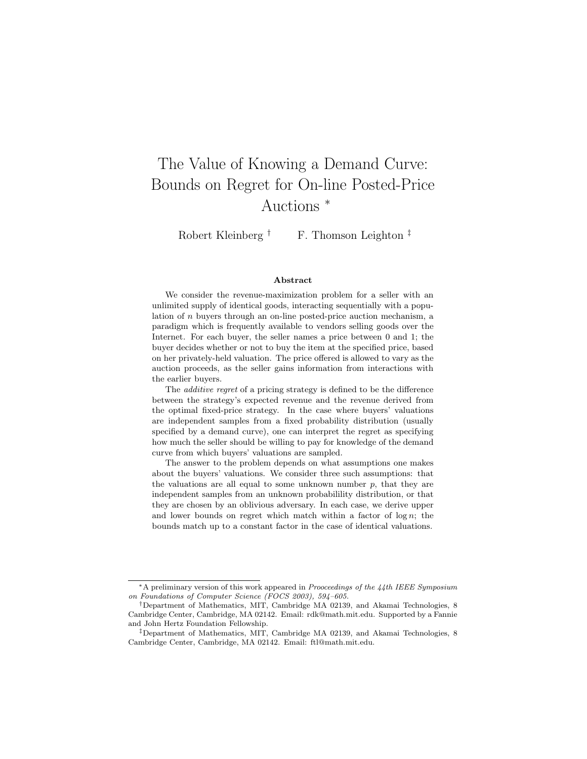# The Value of Knowing a Demand Curve: Bounds on Regret for On-line Posted-Price Auctions <sup>∗</sup>

Robert Kleinberg  $\dagger$  F. Thomson Leighton  $\ddagger$ 

#### Abstract

We consider the revenue-maximization problem for a seller with an unlimited supply of identical goods, interacting sequentially with a population of n buyers through an on-line posted-price auction mechanism, a paradigm which is frequently available to vendors selling goods over the Internet. For each buyer, the seller names a price between 0 and 1; the buyer decides whether or not to buy the item at the specified price, based on her privately-held valuation. The price offered is allowed to vary as the auction proceeds, as the seller gains information from interactions with the earlier buyers.

The *additive regret* of a pricing strategy is defined to be the difference between the strategy's expected revenue and the revenue derived from the optimal fixed-price strategy. In the case where buyers' valuations are independent samples from a fixed probability distribution (usually specified by a demand curve), one can interpret the regret as specifying how much the seller should be willing to pay for knowledge of the demand curve from which buyers' valuations are sampled.

The answer to the problem depends on what assumptions one makes about the buyers' valuations. We consider three such assumptions: that the valuations are all equal to some unknown number  $p$ , that they are independent samples from an unknown probabilility distribution, or that they are chosen by an oblivious adversary. In each case, we derive upper and lower bounds on regret which match within a factor of  $log n$ ; the bounds match up to a constant factor in the case of identical valuations.

 $*A$  preliminary version of this work appeared in *Prooceedings of the 44th IEEE Symposium* on Foundations of Computer Science (FOCS 2003), 594–605.

<sup>†</sup>Department of Mathematics, MIT, Cambridge MA 02139, and Akamai Technologies, 8 Cambridge Center, Cambridge, MA 02142. Email: rdk@math.mit.edu. Supported by a Fannie and John Hertz Foundation Fellowship.

<sup>‡</sup>Department of Mathematics, MIT, Cambridge MA 02139, and Akamai Technologies, 8 Cambridge Center, Cambridge, MA 02142. Email: ftl@math.mit.edu.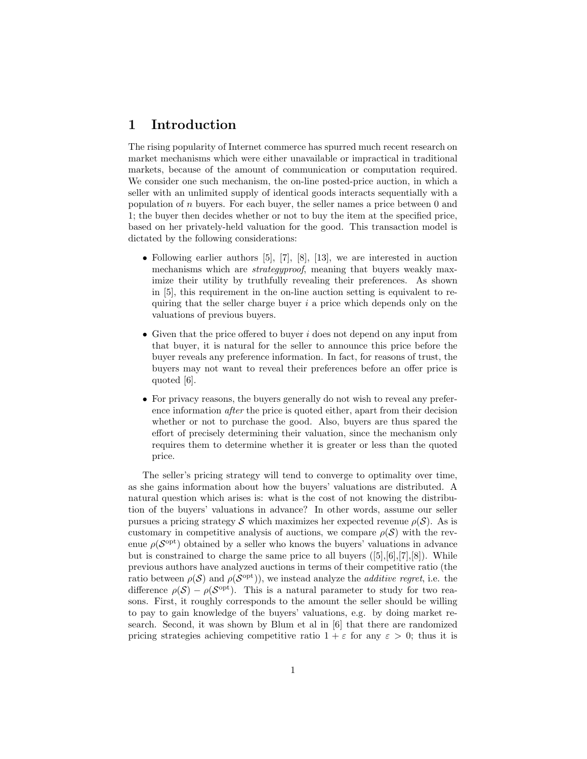# 1 Introduction

The rising popularity of Internet commerce has spurred much recent research on market mechanisms which were either unavailable or impractical in traditional markets, because of the amount of communication or computation required. We consider one such mechanism, the on-line posted-price auction, in which a seller with an unlimited supply of identical goods interacts sequentially with a population of n buyers. For each buyer, the seller names a price between 0 and 1; the buyer then decides whether or not to buy the item at the specified price, based on her privately-held valuation for the good. This transaction model is dictated by the following considerations:

- Following earlier authors [5], [7], [8], [13], we are interested in auction mechanisms which are *strategyproof*, meaning that buyers weakly maximize their utility by truthfully revealing their preferences. As shown in [5], this requirement in the on-line auction setting is equivalent to requiring that the seller charge buyer  $i$  a price which depends only on the valuations of previous buyers.
- Given that the price offered to buyer  $i$  does not depend on any input from that buyer, it is natural for the seller to announce this price before the buyer reveals any preference information. In fact, for reasons of trust, the buyers may not want to reveal their preferences before an offer price is quoted [6].
- For privacy reasons, the buyers generally do not wish to reveal any preference information after the price is quoted either, apart from their decision whether or not to purchase the good. Also, buyers are thus spared the effort of precisely determining their valuation, since the mechanism only requires them to determine whether it is greater or less than the quoted price.

The seller's pricing strategy will tend to converge to optimality over time, as she gains information about how the buyers' valuations are distributed. A natural question which arises is: what is the cost of not knowing the distribution of the buyers' valuations in advance? In other words, assume our seller pursues a pricing strategy S which maximizes her expected revenue  $\rho(\mathcal{S})$ . As is customary in competitive analysis of auctions, we compare  $\rho(\mathcal{S})$  with the revenue  $\rho(\mathcal{S}^{\text{opt}})$  obtained by a seller who knows the buyers' valuations in advance but is constrained to charge the same price to all buyers  $([5],[6],[7],[8])$ . While previous authors have analyzed auctions in terms of their competitive ratio (the ratio between  $\rho(S)$  and  $\rho(S^{\text{opt}})$ , we instead analyze the *additive regret*, i.e. the difference  $\rho(S) - \rho(S^{\text{opt}})$ . This is a natural parameter to study for two reasons. First, it roughly corresponds to the amount the seller should be willing to pay to gain knowledge of the buyers' valuations, e.g. by doing market research. Second, it was shown by Blum et al in [6] that there are randomized pricing strategies achieving competitive ratio  $1 + \varepsilon$  for any  $\varepsilon > 0$ ; thus it is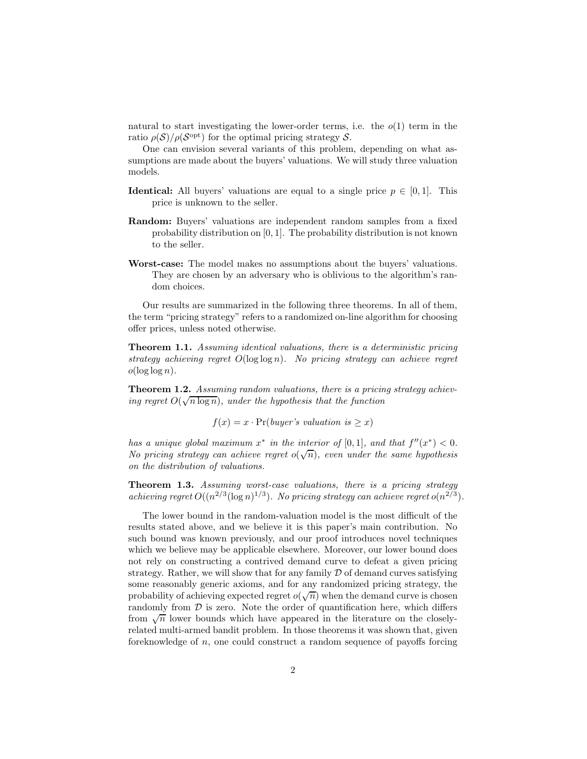natural to start investigating the lower-order terms, i.e. the  $o(1)$  term in the ratio  $\rho(\mathcal{S})/\rho(\mathcal{S}^{\text{opt}})$  for the optimal pricing strategy  $\mathcal{S}$ .

One can envision several variants of this problem, depending on what assumptions are made about the buyers' valuations. We will study three valuation models.

- **Identical:** All buyers' valuations are equal to a single price  $p \in [0, 1]$ . This price is unknown to the seller.
- Random: Buyers' valuations are independent random samples from a fixed probability distribution on [0, 1]. The probability distribution is not known to the seller.
- Worst-case: The model makes no assumptions about the buyers' valuations. They are chosen by an adversary who is oblivious to the algorithm's random choices.

Our results are summarized in the following three theorems. In all of them, the term "pricing strategy" refers to a randomized on-line algorithm for choosing offer prices, unless noted otherwise.

Theorem 1.1. Assuming identical valuations, there is a deterministic pricing strategy achieving regret  $O(\log \log n)$ . No pricing strategy can achieve regret  $o(\log \log n)$ .

Theorem 1.2. Assuming random valuations, there is a pricing strategy achieving regret  $O(\sqrt{n \log n})$ , under the hypothesis that the function

$$
f(x) = x \cdot \Pr(buper's \; valuation \; is \geq x)
$$

has a unique global maximum  $x^*$  in the interior of  $[0,1]$ , and that  $f''(x^*) < 0$ . No pricing strategy can achieve regret  $o(\sqrt{n})$ , even under the same hypothesis on the distribution of valuations.

Theorem 1.3. Assuming worst-case valuations, there is a pricing strategy achieving regret  $O((n^{2/3}(\log n)^{1/3})$ . No pricing strategy can achieve regret  $o(n^{2/3})$ .

The lower bound in the random-valuation model is the most difficult of the results stated above, and we believe it is this paper's main contribution. No such bound was known previously, and our proof introduces novel techniques which we believe may be applicable elsewhere. Moreover, our lower bound does not rely on constructing a contrived demand curve to defeat a given pricing strategy. Rather, we will show that for any family  $D$  of demand curves satisfying some reasonably generic axioms, and for any randomized pricing strategy, the probability of achieving expected regret  $o(\sqrt{n})$  when the demand curve is chosen randomly from  $D$  is zero. Note the order of quantification here, which differs from  $\sqrt{n}$  lower bounds which have appeared in the literature on the closelyrelated multi-armed bandit problem. In those theorems it was shown that, given foreknowledge of  $n$ , one could construct a random sequence of payoffs forcing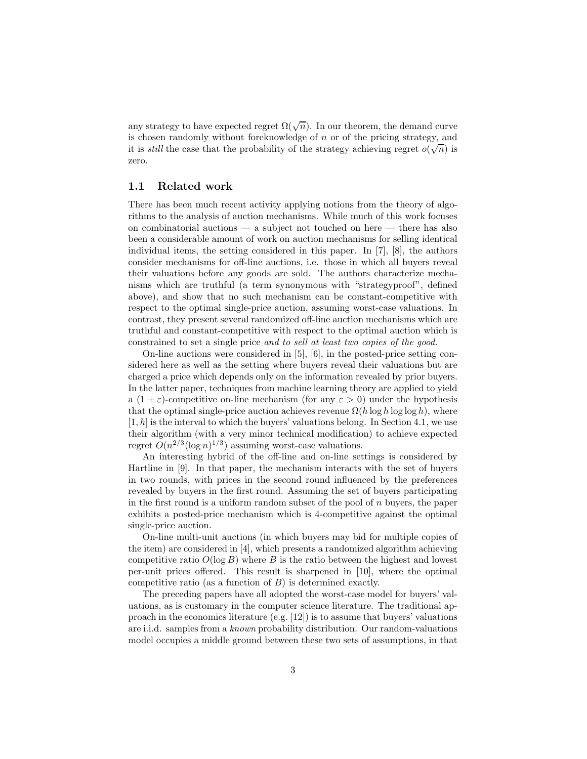any strategy to have expected regret  $\Omega(\sqrt{n})$ . In our theorem, the demand curve is chosen randomly without foreknowledge of  $n$  or of the pricing strategy, and it is *still* the case that the probability of the strategy achieving regret  $o(\sqrt{n})$  is zero.

## 1.1 Related work

There has been much recent activity applying notions from the theory of algorithms to the analysis of auction mechanisms. While much of this work focuses on combinatorial auctions — a subject not touched on here — there has also been a considerable amount of work on auction mechanisms for selling identical individual items, the setting considered in this paper. In [7], [8], the authors consider mechanisms for off-line auctions, i.e. those in which all buyers reveal their valuations before any goods are sold. The authors characterize mechanisms which are truthful (a term synonymous with "strategyproof", defined above), and show that no such mechanism can be constant-competitive with respect to the optimal single-price auction, assuming worst-case valuations. In contrast, they present several randomized off-line auction mechanisms which are truthful and constant-competitive with respect to the optimal auction which is constrained to set a single price and to sell at least two copies of the good.

On-line auctions were considered in [5], [6], in the posted-price setting considered here as well as the setting where buyers reveal their valuations but are charged a price which depends only on the information revealed by prior buyers. In the latter paper, techniques from machine learning theory are applied to yield a  $(1 + \varepsilon)$ -competitive on-line mechanism (for any  $\varepsilon > 0$ ) under the hypothesis that the optimal single-price auction achieves revenue  $\Omega(h \log h \log \log h)$ , where  $[1, h]$  is the interval to which the buyers' valuations belong. In Section 4.1, we use their algorithm (with a very minor technical modification) to achieve expected regret  $O(n^{2/3}(\log n)^{1/3})$  assuming worst-case valuations.

An interesting hybrid of the off-line and on-line settings is considered by Hartline in [9]. In that paper, the mechanism interacts with the set of buyers in two rounds, with prices in the second round influenced by the preferences revealed by buyers in the first round. Assuming the set of buyers participating in the first round is a uniform random subset of the pool of  $n$  buyers, the paper exhibits a posted-price mechanism which is 4-competitive against the optimal single-price auction.

On-line multi-unit auctions (in which buyers may bid for multiple copies of the item) are considered in [4], which presents a randomized algorithm achieving competitive ratio  $O(\log B)$  where B is the ratio between the highest and lowest per-unit prices offered. This result is sharpened in [10], where the optimal competitive ratio (as a function of  $B$ ) is determined exactly.

The preceding papers have all adopted the worst-case model for buyers' valuations, as is customary in the computer science literature. The traditional approach in the economics literature (e.g. [12]) is to assume that buyers' valuations are i.i.d. samples from a known probability distribution. Our random-valuations model occupies a middle ground between these two sets of assumptions, in that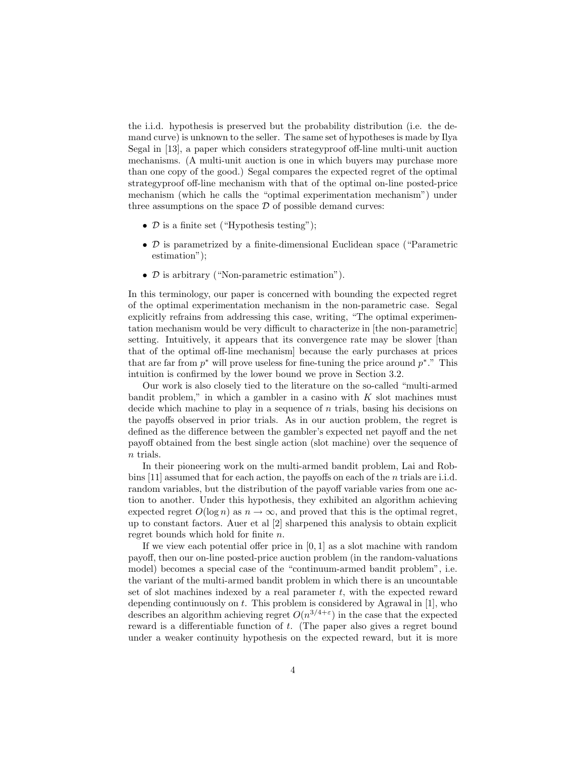the i.i.d. hypothesis is preserved but the probability distribution (i.e. the demand curve) is unknown to the seller. The same set of hypotheses is made by Ilya Segal in [13], a paper which considers strategyproof off-line multi-unit auction mechanisms. (A multi-unit auction is one in which buyers may purchase more than one copy of the good.) Segal compares the expected regret of the optimal strategyproof off-line mechanism with that of the optimal on-line posted-price mechanism (which he calls the "optimal experimentation mechanism") under three assumptions on the space  $D$  of possible demand curves:

- $\mathcal D$  is a finite set ("Hypothesis testing");
- D is parametrized by a finite-dimensional Euclidean space ("Parametric estimation");
- D is arbitrary ("Non-parametric estimation").

In this terminology, our paper is concerned with bounding the expected regret of the optimal experimentation mechanism in the non-parametric case. Segal explicitly refrains from addressing this case, writing, "The optimal experimentation mechanism would be very difficult to characterize in [the non-parametric] setting. Intuitively, it appears that its convergence rate may be slower [than that of the optimal off-line mechanism] because the early purchases at prices that are far from  $p^*$  will prove useless for fine-tuning the price around  $p^*$ ." This intuition is confirmed by the lower bound we prove in Section 3.2.

Our work is also closely tied to the literature on the so-called "multi-armed bandit problem," in which a gambler in a casino with  $K$  slot machines must decide which machine to play in a sequence of  $n$  trials, basing his decisions on the payoffs observed in prior trials. As in our auction problem, the regret is defined as the difference between the gambler's expected net payoff and the net payoff obtained from the best single action (slot machine) over the sequence of n trials.

In their pioneering work on the multi-armed bandit problem, Lai and Robbins [11] assumed that for each action, the payoffs on each of the n trials are i.i.d. random variables, but the distribution of the payoff variable varies from one action to another. Under this hypothesis, they exhibited an algorithm achieving expected regret  $O(\log n)$  as  $n \to \infty$ , and proved that this is the optimal regret, up to constant factors. Auer et al [2] sharpened this analysis to obtain explicit regret bounds which hold for finite n.

If we view each potential offer price in  $[0, 1]$  as a slot machine with random payoff, then our on-line posted-price auction problem (in the random-valuations model) becomes a special case of the "continuum-armed bandit problem", i.e. the variant of the multi-armed bandit problem in which there is an uncountable set of slot machines indexed by a real parameter  $t$ , with the expected reward depending continuously on  $t$ . This problem is considered by Agrawal in [1], who describes an algorithm achieving regret  $O(n^{3/4+\epsilon})$  in the case that the expected reward is a differentiable function of t. (The paper also gives a regret bound under a weaker continuity hypothesis on the expected reward, but it is more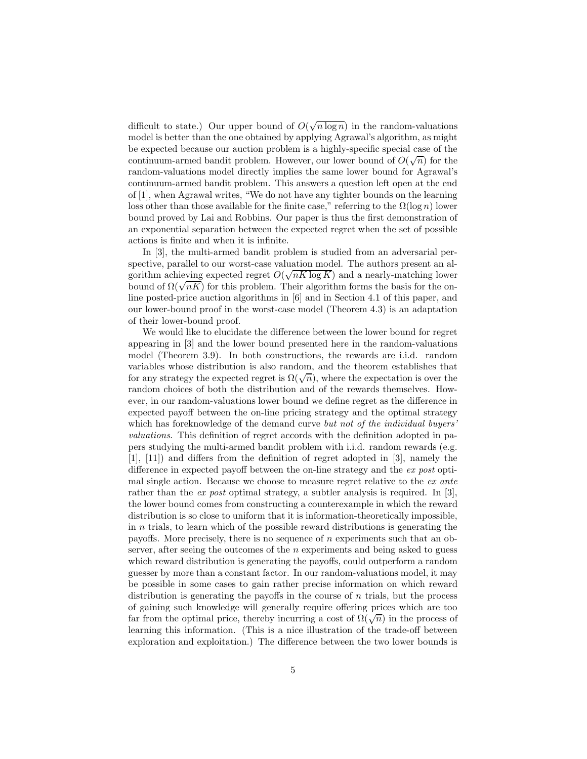difficult to state.) Our upper bound of  $O(\sqrt{n \log n})$  in the random-valuations model is better than the one obtained by applying Agrawal's algorithm, as might be expected because our auction problem is a highly-specific special case of the continuum-armed bandit problem. However, our lower bound of  $O(\sqrt{n})$  for the random-valuations model directly implies the same lower bound for Agrawal's continuum-armed bandit problem. This answers a question left open at the end of [1], when Agrawal writes, "We do not have any tighter bounds on the learning loss other than those available for the finite case," referring to the  $\Omega(\log n)$  lower bound proved by Lai and Robbins. Our paper is thus the first demonstration of an exponential separation between the expected regret when the set of possible actions is finite and when it is infinite.

In [3], the multi-armed bandit problem is studied from an adversarial perspective, parallel to our worst-case valuation model. The authors present an algorithm achieving expected regret  $O(\sqrt{nK \log K})$  and a nearly-matching lower bound of  $\Omega(\sqrt{nK})$  for this problem. Their algorithm forms the basis for the online posted-price auction algorithms in [6] and in Section 4.1 of this paper, and our lower-bound proof in the worst-case model (Theorem 4.3) is an adaptation of their lower-bound proof.

We would like to elucidate the difference between the lower bound for regret appearing in [3] and the lower bound presented here in the random-valuations model (Theorem 3.9). In both constructions, the rewards are i.i.d. random variables whose distribution is also random, and the theorem establishes that for any strategy the expected regret is  $\Omega(\sqrt{n})$ , where the expectation is over the random choices of both the distribution and of the rewards themselves. However, in our random-valuations lower bound we define regret as the difference in expected payoff between the on-line pricing strategy and the optimal strategy which has foreknowledge of the demand curve but not of the individual buyers' valuations. This definition of regret accords with the definition adopted in papers studying the multi-armed bandit problem with i.i.d. random rewards (e.g. [1], [11]) and differs from the definition of regret adopted in [3], namely the difference in expected payoff between the on-line strategy and the ex post optimal single action. Because we choose to measure regret relative to the ex ante rather than the ex post optimal strategy, a subtler analysis is required. In [3], the lower bound comes from constructing a counterexample in which the reward distribution is so close to uniform that it is information-theoretically impossible, in  $n$  trials, to learn which of the possible reward distributions is generating the payoffs. More precisely, there is no sequence of  $n$  experiments such that an observer, after seeing the outcomes of the  $n$  experiments and being asked to guess which reward distribution is generating the payoffs, could outperform a random guesser by more than a constant factor. In our random-valuations model, it may be possible in some cases to gain rather precise information on which reward distribution is generating the payoffs in the course of  $n$  trials, but the process of gaining such knowledge will generally require offering prices which are too far from the optimal price, thereby incurring a cost of  $\Omega(\sqrt{n})$  in the process of learning this information. (This is a nice illustration of the trade-off between exploration and exploitation.) The difference between the two lower bounds is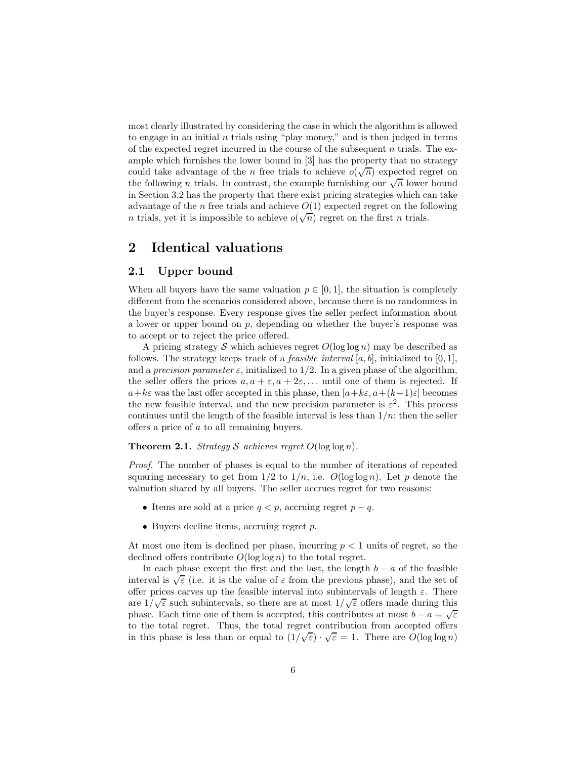most clearly illustrated by considering the case in which the algorithm is allowed to engage in an initial  $n$  trials using "play money," and is then judged in terms of the expected regret incurred in the course of the subsequent n trials. The example which furnishes the lower bound in [3] has the property that no strategy could take advantage of the *n* free trials to achieve  $o(\sqrt{n})$  expected regret on the following *n* trials. In contrast, the example furnishing our  $\sqrt{n}$  lower bound in Section 3.2 has the property that there exist pricing strategies which can take advantage of the n free trials and achieve  $O(1)$  expected regret on the following *n* trials, yet it is impossible to achieve  $o(\sqrt{n})$  regret on the first *n* trials.

# 2 Identical valuations

## 2.1 Upper bound

When all buyers have the same valuation  $p \in [0, 1]$ , the situation is completely different from the scenarios considered above, because there is no randomness in the buyer's response. Every response gives the seller perfect information about a lower or upper bound on p, depending on whether the buyer's response was to accept or to reject the price offered.

A pricing strategy S which achieves regret  $O(\log \log n)$  may be described as follows. The strategy keeps track of a *feasible interval*  $[a, b]$ , initialized to  $[0, 1]$ , and a precision parameter  $\varepsilon$ , initialized to 1/2. In a given phase of the algorithm, the seller offers the prices  $a, a + \varepsilon, a + 2\varepsilon, \ldots$  until one of them is rejected. If  $a+k\varepsilon$  was the last offer accepted in this phase, then  $[a+k\varepsilon, a+(k+1)\varepsilon]$  becomes the new feasible interval, and the new precision parameter is  $\varepsilon^2$ . This process continues until the length of the feasible interval is less than  $1/n$ ; then the seller offers a price of a to all remaining buyers.

### **Theorem 2.1.** Strategy S achieves regret  $O(\log \log n)$ .

Proof. The number of phases is equal to the number of iterations of repeated squaring necessary to get from  $1/2$  to  $1/n$ , i.e.  $O(\log \log n)$ . Let p denote the valuation shared by all buyers. The seller accrues regret for two reasons:

- Items are sold at a price  $q < p$ , accruing regret  $p q$ .
- Buyers decline items, accruing regret  $p$ .

At most one item is declined per phase, incurring  $p < 1$  units of regret, so the declined offers contribute  $O(\log \log n)$  to the total regret.

In each phase except the first and the last, the length  $b - a$  of the feasible interval is  $\sqrt{\varepsilon}$  (i.e. it is the value of  $\varepsilon$  from the previous phase), and the set of offer prices carves up the feasible interval into subintervals of length  $\varepsilon$ . There are  $1/\sqrt{\varepsilon}$  such subintervals, so there are at most  $1/\sqrt{\varepsilon}$  offers made during this phase. Each time one of them is accepted, this contributes at most  $b - a = \sqrt{\varepsilon}$ to the total regret. Thus, the total regret contribution from accepted offers in this phase is less than or equal to  $(1/\sqrt{\varepsilon}) \cdot \sqrt{\varepsilon} = 1$ . There are  $O(\log \log n)$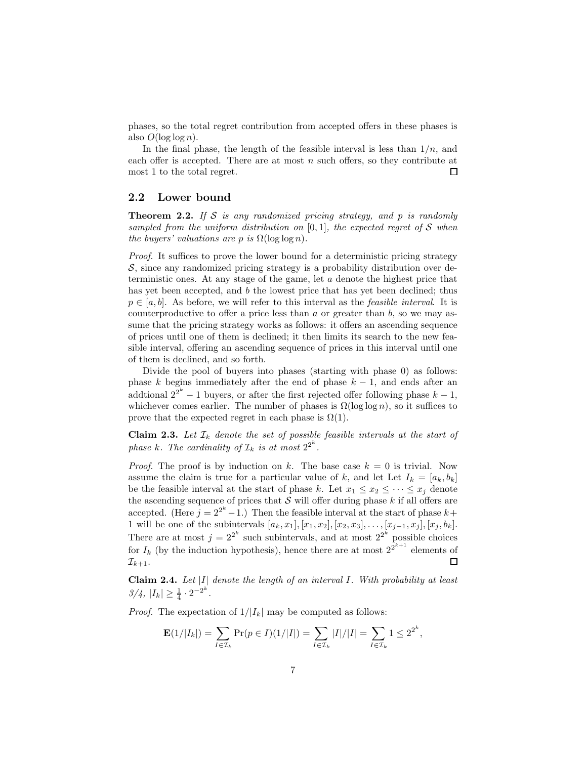phases, so the total regret contribution from accepted offers in these phases is also  $O(\log \log n)$ .

In the final phase, the length of the feasible interval is less than  $1/n$ , and each offer is accepted. There are at most  $n$  such offers, so they contribute at most 1 to the total regret. □

## 2.2 Lower bound

**Theorem 2.2.** If S is any randomized pricing strategy, and  $p$  is randomly sampled from the uniform distribution on  $[0, 1]$ , the expected regret of S when the buyers' valuations are p is  $\Omega(\log \log n)$ .

Proof. It suffices to prove the lower bound for a deterministic pricing strategy  $S$ , since any randomized pricing strategy is a probability distribution over deterministic ones. At any stage of the game, let a denote the highest price that has yet been accepted, and b the lowest price that has yet been declined; thus  $p \in [a, b]$ . As before, we will refer to this interval as the *feasible interval*. It is counterproductive to offer a price less than  $a$  or greater than  $b$ , so we may assume that the pricing strategy works as follows: it offers an ascending sequence of prices until one of them is declined; it then limits its search to the new feasible interval, offering an ascending sequence of prices in this interval until one of them is declined, and so forth.

Divide the pool of buyers into phases (starting with phase 0) as follows: phase k begins immediately after the end of phase  $k - 1$ , and ends after an addtional  $2^{2^k} - 1$  buyers, or after the first rejected offer following phase  $k - 1$ , whichever comes earlier. The number of phases is  $\Omega(\log \log n)$ , so it suffices to prove that the expected regret in each phase is  $\Omega(1)$ .

**Claim 2.3.** Let  $\mathcal{I}_k$  denote the set of possible feasible intervals at the start of phase k. The cardinality of  $\mathcal{I}_k$  is at most  $2^{2^k}$ .

*Proof.* The proof is by induction on k. The base case  $k = 0$  is trivial. Now assume the claim is true for a particular value of k, and let Let  $I_k = [a_k, b_k]$ be the feasible interval at the start of phase k. Let  $x_1 \le x_2 \le \cdots \le x_j$  denote the ascending sequence of prices that  $S$  will offer during phase k if all offers are accepted. (Here  $j = 2^{2^k} - 1$ .) Then the feasible interval at the start of phase  $k+1$ 1 will be one of the subintervals  $[a_k, x_1], [x_1, x_2], [x_2, x_3], \ldots, [x_{j-1}, x_j], [x_j, b_k].$ There are at most  $j = 2^{2^k}$  such subintervals, and at most  $2^{2^k}$  possible choices for  $I_k$  (by the induction hypothesis), hence there are at most  $2^{\hat{2}^{k+1}}$  elements of  $\Box$  $\mathcal{I}_{k+1}$ .

Claim 2.4. Let  $|I|$  denote the length of an interval I. With probability at least  $3/4, |I_k| \geq \frac{1}{4} \cdot 2^{-2^k}.$ 

*Proof.* The expectation of  $1/|I_k|$  may be computed as follows:

$$
\mathbf{E}(1/|I_k|) = \sum_{I \in \mathcal{I}_k} \Pr(p \in I)(1/|I|) = \sum_{I \in \mathcal{I}_k} |I|/|I| = \sum_{I \in \mathcal{I}_k} 1 \le 2^{2^k},
$$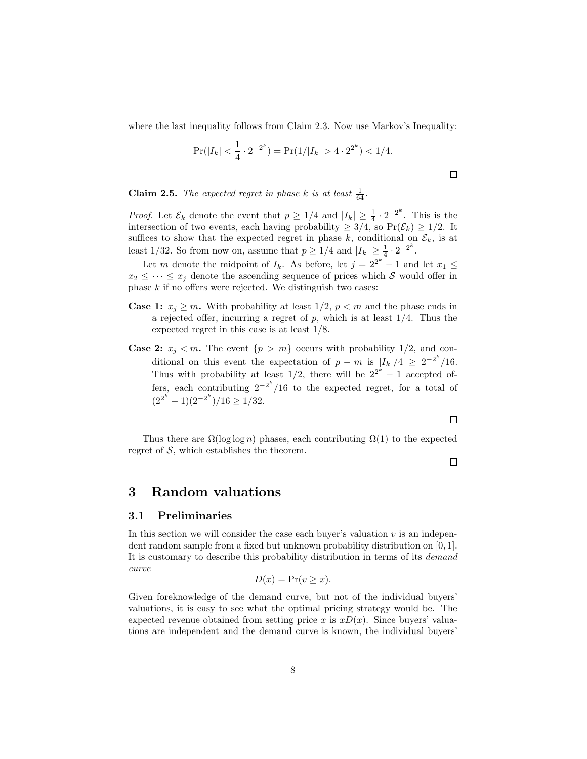where the last inequality follows from Claim 2.3. Now use Markov's Inequality:

$$
\Pr(|I_k| < \frac{1}{4} \cdot 2^{-2^k}) = \Pr(1/|I_k| > 4 \cdot 2^{2^k}) < 1/4.
$$

**Claim 2.5.** The expected regret in phase k is at least  $\frac{1}{64}$ .

*Proof.* Let  $\mathcal{E}_k$  denote the event that  $p \geq 1/4$  and  $|I_k| \geq \frac{1}{4} \cdot 2^{-2^k}$ . This is the intersection of two events, each having probability  $\geq 3/4$ , so  $Pr(\mathcal{E}_k) \geq 1/2$ . It suffices to show that the expected regret in phase k, conditional on  $\mathcal{E}_k$ , is at least 1/32. So from now on, assume that  $p \geq 1/4$  and  $|I_k| \geq \frac{1}{4} \cdot 2^{-2^k}$ .

Let m denote the midpoint of  $I_k$ . As before, let  $j = 2^{2^k} - 1$  and let  $x_1 \leq$  $x_2 \leq \cdots \leq x_i$  denote the ascending sequence of prices which S would offer in phase  $k$  if no offers were rejected. We distinguish two cases:

- **Case 1:**  $x_j \geq m$ . With probability at least  $1/2$ ,  $p < m$  and the phase ends in a rejected offer, incurring a regret of  $p$ , which is at least  $1/4$ . Thus the expected regret in this case is at least 1/8.
- **Case 2:**  $x_j < m$ . The event  $\{p > m\}$  occurs with probability 1/2, and conditional on this event the expectation of  $p - m$  is  $\frac{|I_k|}{4} \geq 2^{-2^k}/16$ . Thus with probability at least  $1/2$ , there will be  $2^{2^k} - 1$  accepted offers, each contributing  $2^{-2^k}/16$  to the expected regret, for a total of  $(2^{2^k} - 1)(2^{-2^k})/16 \ge 1/32.$

Thus there are  $\Omega(\log \log n)$  phases, each contributing  $\Omega(1)$  to the expected regret of  $S$ , which establishes the theorem.

# 3 Random valuations

## 3.1 Preliminaries

In this section we will consider the case each buyer's valuation  $v$  is an independent random sample from a fixed but unknown probability distribution on [0, 1]. It is customary to describe this probability distribution in terms of its demand curve

$$
D(x) = \Pr(v \ge x).
$$

Given foreknowledge of the demand curve, but not of the individual buyers' valuations, it is easy to see what the optimal pricing strategy would be. The expected revenue obtained from setting price x is  $xD(x)$ . Since buyers' valuations are independent and the demand curve is known, the individual buyers'

# $\Box$

口

 $\Box$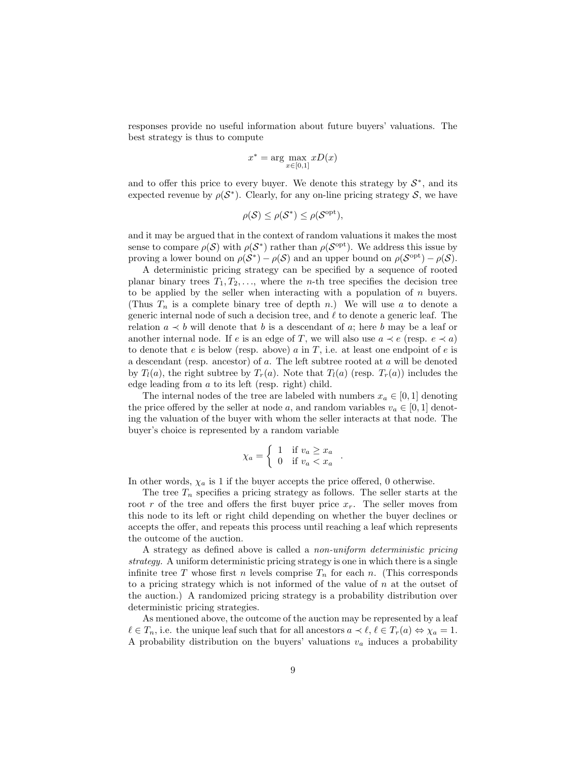responses provide no useful information about future buyers' valuations. The best strategy is thus to compute

$$
x^* = \arg\max_{x \in [0,1]} xD(x)
$$

and to offer this price to every buyer. We denote this strategy by  $S^*$ , and its expected revenue by  $\rho(\mathcal{S}^*)$ . Clearly, for any on-line pricing strategy  $\mathcal{S}$ , we have

$$
\rho(\mathcal{S}) \leq \rho(\mathcal{S}^*) \leq \rho(\mathcal{S}^{\mathrm{opt}}),
$$

and it may be argued that in the context of random valuations it makes the most sense to compare  $\rho(S)$  with  $\rho(S^*)$  rather than  $\rho(S^{\text{opt}})$ . We address this issue by proving a lower bound on  $\rho(S^*) - \rho(S)$  and an upper bound on  $\rho(S^{\text{opt}}) - \rho(S)$ .

A deterministic pricing strategy can be specified by a sequence of rooted planar binary trees  $T_1, T_2, \ldots$ , where the *n*-th tree specifies the decision tree to be applied by the seller when interacting with a population of n buyers. (Thus  $T_n$  is a complete binary tree of depth n.) We will use a to denote a generic internal node of such a decision tree, and  $\ell$  to denote a generic leaf. The relation  $a \lt b$  will denote that b is a descendant of a; here b may be a leaf or another internal node. If e is an edge of T, we will also use  $a \prec e$  (resp.  $e \prec a$ ) to denote that e is below (resp. above) a in T, i.e. at least one endpoint of e is a descendant (resp. ancestor) of a. The left subtree rooted at a will be denoted by  $T_l(a)$ , the right subtree by  $T_r(a)$ . Note that  $T_l(a)$  (resp.  $T_r(a)$ ) includes the edge leading from a to its left (resp. right) child.

The internal nodes of the tree are labeled with numbers  $x_a \in [0, 1]$  denoting the price offered by the seller at node a, and random variables  $v_a \in [0, 1]$  denoting the valuation of the buyer with whom the seller interacts at that node. The buyer's choice is represented by a random variable

$$
\chi_a = \begin{cases} 1 & \text{if } v_a \ge x_a \\ 0 & \text{if } v_a < x_a \end{cases}
$$

.

In other words,  $\chi_a$  is 1 if the buyer accepts the price offered, 0 otherwise.

The tree  $T_n$  specifies a pricing strategy as follows. The seller starts at the root r of the tree and offers the first buyer price  $x_r$ . The seller moves from this node to its left or right child depending on whether the buyer declines or accepts the offer, and repeats this process until reaching a leaf which represents the outcome of the auction.

A strategy as defined above is called a non-uniform deterministic pricing strategy. A uniform deterministic pricing strategy is one in which there is a single infinite tree T whose first n levels comprise  $T_n$  for each n. (This corresponds to a pricing strategy which is not informed of the value of  $n$  at the outset of the auction.) A randomized pricing strategy is a probability distribution over deterministic pricing strategies.

As mentioned above, the outcome of the auction may be represented by a leaf  $\ell \in T_n$ , i.e. the unique leaf such that for all ancestors  $a \prec \ell, \ell \in T_r(a) \Leftrightarrow \chi_a = 1$ . A probability distribution on the buyers' valuations  $v_a$  induces a probability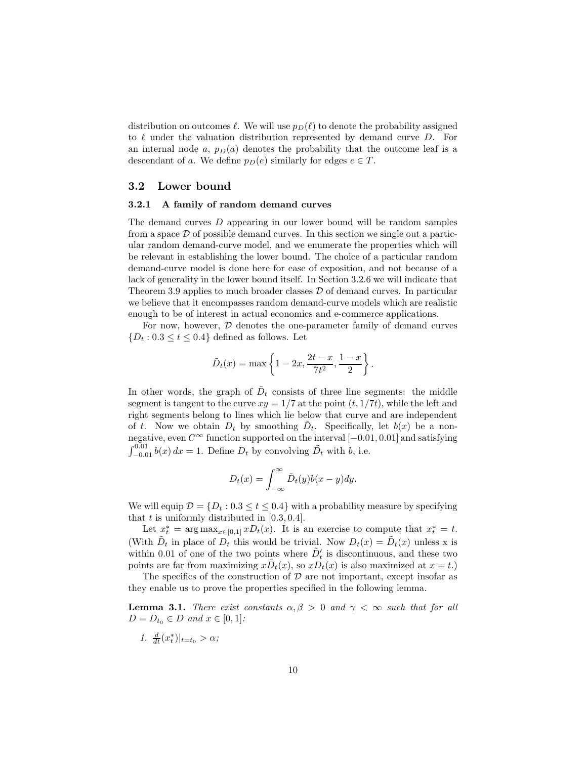distribution on outcomes  $\ell$ . We will use  $p_D(\ell)$  to denote the probability assigned to  $\ell$  under the valuation distribution represented by demand curve D. For an internal node a,  $p_D(a)$  denotes the probability that the outcome leaf is a descendant of a. We define  $p_D(e)$  similarly for edges  $e \in T$ .

## 3.2 Lower bound

### 3.2.1 A family of random demand curves

The demand curves D appearing in our lower bound will be random samples from a space  $\mathcal D$  of possible demand curves. In this section we single out a particular random demand-curve model, and we enumerate the properties which will be relevant in establishing the lower bound. The choice of a particular random demand-curve model is done here for ease of exposition, and not because of a lack of generality in the lower bound itself. In Section 3.2.6 we will indicate that Theorem 3.9 applies to much broader classes  $\mathcal D$  of demand curves. In particular we believe that it encompasses random demand-curve models which are realistic enough to be of interest in actual economics and e-commerce applications.

For now, however,  $D$  denotes the one-parameter family of demand curves  ${D_t : 0.3 \le t \le 0.4}$  defined as follows. Let

$$
\tilde{D}_t(x) = \max \left\{ 1 - 2x, \frac{2t - x}{7t^2}, \frac{1 - x}{2} \right\}.
$$

In other words, the graph of  $D_t$  consists of three line segments: the middle segment is tangent to the curve  $xy = 1/7$  at the point  $(t, 1/7t)$ , while the left and right segments belong to lines which lie below that curve and are independent of t. Now we obtain  $D_t$  by smoothing  $\tilde{D}_t$ . Specifically, let  $b(x)$  be a nonnegative, even  $C^{\infty}$  function supported on the interval  $[-0.01, 0.01]$  and satisfying  $\int_{-0.01}^{0.01} b(x) dx = 1$ . Define  $D_t$  by convolving  $\tilde{D}_t$  with  $b$ , i.e.

$$
D_t(x) = \int_{-\infty}^{\infty} \tilde{D}_t(y)b(x - y)dy.
$$

We will equip  $\mathcal{D} = \{D_t : 0.3 \le t \le 0.4\}$  with a probability measure by specifying that t is uniformly distributed in  $[0.3, 0.4]$ .

Let  $x_t^* = \arg \max_{x \in [0,1]} x D_t(x)$ . It is an exercise to compute that  $x_t^* = t$ . (With  $\tilde{D}_t$  in place of  $D_t$  this would be trivial. Now  $D_t(x) = \tilde{D}_t(x)$  unless x is within 0.01 of one of the two points where  $\tilde{D}'_t$  is discontinuous, and these two points are far from maximizing  $x\tilde{D}_t(x)$ , so  $x\tilde{D}_t(x)$  is also maximized at  $x = t$ .)

The specifics of the construction of  $\mathcal D$  are not important, except insofar as they enable us to prove the properties specified in the following lemma.

**Lemma 3.1.** There exist constants  $\alpha, \beta > 0$  and  $\gamma < \infty$  such that for all  $D = D_{t_0} \in D \text{ and } x \in [0, 1]:$ 

$$
1. \frac{d}{dt}(x_t^*)|_{t=t_0} > \alpha;
$$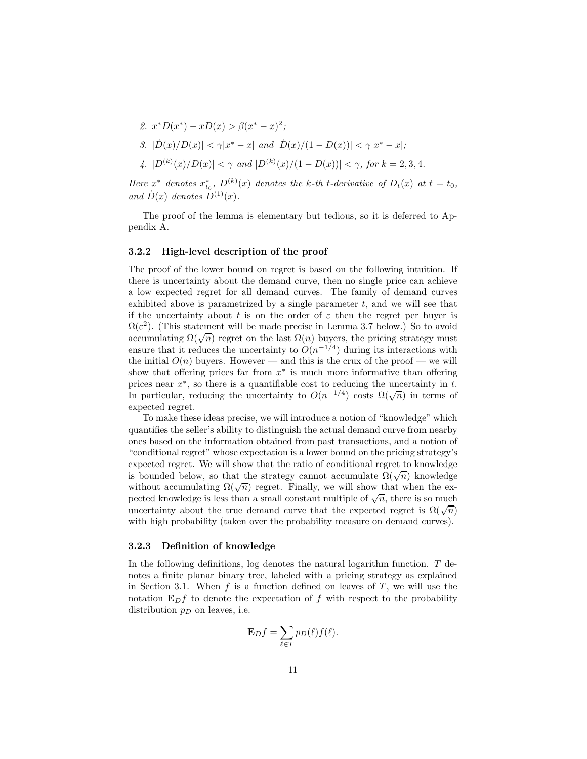2. 
$$
x^*D(x^*) - xD(x) > \beta(x^* - x)^2
$$
;  
\n3.  $|\dot{D}(x)/D(x)| < \gamma |x^* - x|$  and  $|\dot{D}(x)/(1 - D(x))| < \gamma |x^* - x|$ ;  
\n4.  $|D^{(k)}(x)/D(x)| < \gamma$  and  $|D^{(k)}(x)/(1 - D(x))| < \gamma$ , for  $k = 2, 3, 4$ .

Here  $x^*$  denotes  $x_{t_0}^*$ ,  $D^{(k)}(x)$  denotes the k-th t-derivative of  $D_t(x)$  at  $t = t_0$ , and  $D(x)$  denotes  $D^{(1)}(x)$ .

The proof of the lemma is elementary but tedious, so it is deferred to Appendix A.

#### 3.2.2 High-level description of the proof

The proof of the lower bound on regret is based on the following intuition. If there is uncertainty about the demand curve, then no single price can achieve a low expected regret for all demand curves. The family of demand curves exhibited above is parametrized by a single parameter  $t$ , and we will see that if the uncertainty about t is on the order of  $\varepsilon$  then the regret per buyer is  $\Omega(\varepsilon^2)$ . (This statement will be made precise in Lemma 3.7 below.) So to avoid accumulating  $\Omega(\sqrt{n})$  regret on the last  $\Omega(n)$  buyers, the pricing strategy must ensure that it reduces the uncertainty to  $O(n^{-1/4})$  during its interactions with the initial  $O(n)$  buyers. However — and this is the crux of the proof — we will show that offering prices far from  $x^*$  is much more informative than offering prices near  $x^*$ , so there is a quantifiable cost to reducing the uncertainty in  $t$ . In particular, reducing the uncertainty to  $O(n^{-1/4})$  costs  $\Omega(\sqrt{n})$  in terms of expected regret.

To make these ideas precise, we will introduce a notion of "knowledge" which quantifies the seller's ability to distinguish the actual demand curve from nearby ones based on the information obtained from past transactions, and a notion of "conditional regret" whose expectation is a lower bound on the pricing strategy's expected regret. We will show that the ratio of conditional regret to knowledge is bounded below, so that the strategy cannot accumulate  $\Omega(\sqrt{n})$  knowledge without accumulating  $\Omega(\sqrt{n})$  regret. Finally, we will show that when the expected knowledge is less than a small constant multiple of  $\sqrt{n}$ , there is so much uncertainty about the true demand curve that the expected regret is  $\Omega(\sqrt{n})$ with high probability (taken over the probability measure on demand curves).

#### 3.2.3 Definition of knowledge

In the following definitions, log denotes the natural logarithm function.  $T$  denotes a finite planar binary tree, labeled with a pricing strategy as explained in Section 3.1. When f is a function defined on leaves of  $T$ , we will use the notation  $\mathbf{E}_D f$  to denote the expectation of f with respect to the probability distribution  $p_D$  on leaves, i.e.

$$
\mathbf{E}_D f = \sum_{\ell \in T} p_D(\ell) f(\ell).
$$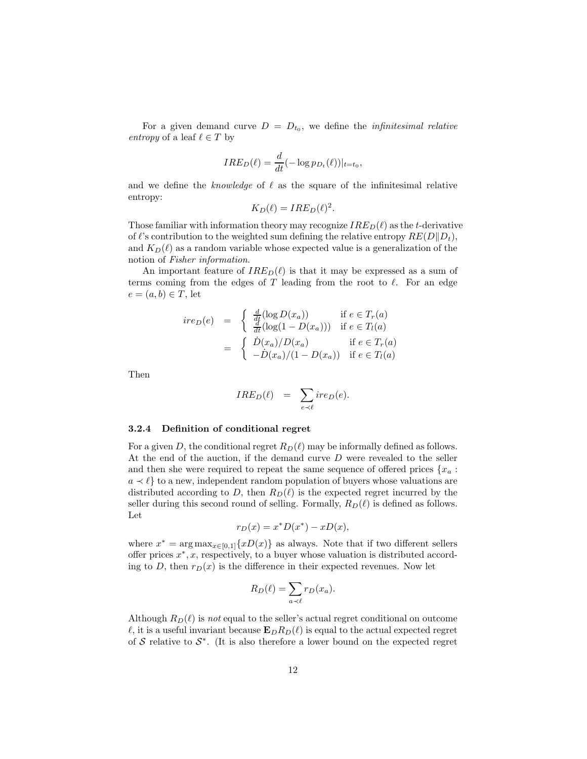For a given demand curve  $D = D_{t_0}$ , we define the *infinitesimal relative* entropy of a leaf  $\ell \in T$  by

$$
IRE_D(\ell) = \frac{d}{dt}(-\log p_{D_t}(\ell))|_{t=t_0},
$$

and we define the knowledge of  $\ell$  as the square of the infinitesimal relative entropy:

$$
K_D(\ell) = IRE_D(\ell)^2.
$$

Those familiar with information theory may recognize  $IRE_D(\ell)$  as the t-derivative of  $\ell$ 's contribution to the weighted sum defining the relative entropy  $RE(D||D_t)$ , and  $K_D(\ell)$  as a random variable whose expected value is a generalization of the notion of Fisher information.

An important feature of  $IRE_D(\ell)$  is that it may be expressed as a sum of terms coming from the edges of  $T$  leading from the root to  $\ell$ . For an edge  $e = (a, b) \in T$ , let

$$
ire_D(e) = \begin{cases} \frac{d}{dt}(\log D(x_a)) & \text{if } e \in T_r(a) \\ \frac{d}{dt}(\log(1 - D(x_a))) & \text{if } e \in T_l(a) \end{cases}
$$

$$
= \begin{cases} \dot{D}(x_a)/D(x_a) & \text{if } e \in T_r(a) \\ -\dot{D}(x_a)/(1 - D(x_a)) & \text{if } e \in T_l(a) \end{cases}
$$

Then

$$
IRE_D(\ell) = \sum_{e \prec \ell} ire_D(e).
$$

#### 3.2.4 Definition of conditional regret

For a given D, the conditional regret  $R_D(\ell)$  may be informally defined as follows. At the end of the auction, if the demand curve D were revealed to the seller and then she were required to repeat the same sequence of offered prices  ${x_a :$  $a \prec \ell$  to a new, independent random population of buyers whose valuations are distributed according to D, then  $R_D(\ell)$  is the expected regret incurred by the seller during this second round of selling. Formally,  $R_D(\ell)$  is defined as follows. Let

$$
r_D(x) = x^*D(x^*) - xD(x),
$$

where  $x^* = \arg \max_{x \in [0,1]} \{xD(x)\}\$  as always. Note that if two different sellers offer prices  $x^*, x$ , respectively, to a buyer whose valuation is distributed according to D, then  $r_D(x)$  is the difference in their expected revenues. Now let

$$
R_D(\ell) = \sum_{a \prec \ell} r_D(x_a).
$$

Although  $R_D(\ell)$  is not equal to the seller's actual regret conditional on outcome  $\ell$ , it is a useful invariant because  $\mathbf{E}_D R_D(\ell)$  is equal to the actual expected regret of  $S$  relative to  $S^*$ . (It is also therefore a lower bound on the expected regret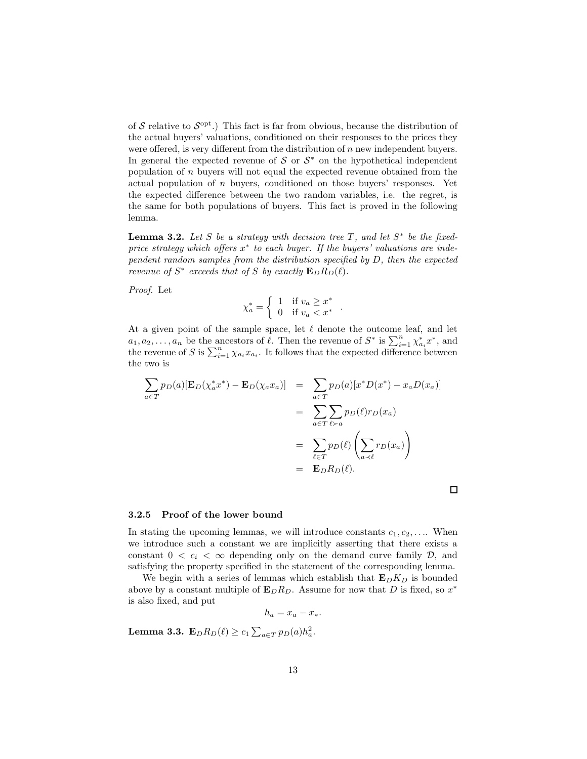of  $S$  relative to  $S<sup>opt</sup>$ .) This fact is far from obvious, because the distribution of the actual buyers' valuations, conditioned on their responses to the prices they were offered, is very different from the distribution of n new independent buyers. In general the expected revenue of  $S$  or  $S^*$  on the hypothetical independent population of  $n$  buyers will not equal the expected revenue obtained from the actual population of  $n$  buyers, conditioned on those buyers' responses. Yet the expected difference between the two random variables, i.e. the regret, is the same for both populations of buyers. This fact is proved in the following lemma.

**Lemma 3.2.** Let S be a strategy with decision tree T, and let  $S^*$  be the fixedprice strategy which offers  $x^*$  to each buyer. If the buyers' valuations are independent random samples from the distribution specified by D, then the expected revenue of  $S^*$  exceeds that of S by exactly  $\mathbf{E}_D R_D(\ell)$ .

Proof. Let

$$
\chi_a^* = \begin{cases} 1 & \text{if } v_a \ge x^* \\ 0 & \text{if } v_a < x^* \end{cases}
$$

.

 $\Box$ 

At a given point of the sample space, let  $\ell$  denote the outcome leaf, and let  $a_1, a_2, \ldots, a_n$  be the ancestors of  $\ell$ . Then the revenue of  $S^*$  is  $\sum_{i=1}^n \chi_{a_i}^* x^*$ , and the revenue of S is  $\sum_{i=1}^{n} \chi_{a_i} x_{a_i}$ . It follows that the expected difference between the two is

$$
\sum_{a \in T} p_D(a) [\mathbf{E}_D(\chi_a^* x^*) - \mathbf{E}_D(\chi_a x_a)] = \sum_{a \in T} p_D(a) [x^* D(x^*) - x_a D(x_a)]
$$

$$
= \sum_{a \in T} \sum_{\ell \succ a} p_D(\ell) r_D(x_a)
$$

$$
= \sum_{\ell \in T} p_D(\ell) \left( \sum_{a \prec \ell} r_D(x_a) \right)
$$

$$
= \mathbf{E}_D R_D(\ell).
$$

#### 3.2.5 Proof of the lower bound

In stating the upcoming lemmas, we will introduce constants  $c_1, c_2, \ldots$  When we introduce such a constant we are implicitly asserting that there exists a constant  $0 < c_i < \infty$  depending only on the demand curve family  $D$ , and satisfying the property specified in the statement of the corresponding lemma.

We begin with a series of lemmas which establish that  $\mathbf{E}_D K_D$  is bounded above by a constant multiple of  $\mathbf{E}_D R_D$ . Assume for now that D is fixed, so  $x^*$ is also fixed, and put

$$
h_a = x_a - x_*.
$$

**Lemma 3.3.**  $\mathbf{E}_{D}R_{D}(\ell) \ge c_1 \sum_{a \in T} p_D(a)h_a^2$ .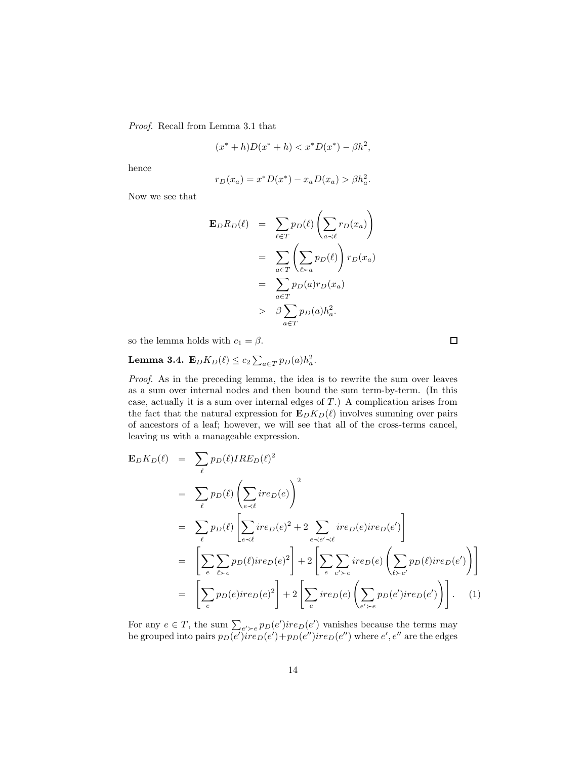Proof. Recall from Lemma 3.1 that

$$
(x^* + h)D(x^* + h) < x^*D(x^*) - \beta h^2,
$$

hence

$$
r_D(x_a) = x^* D(x^*) - x_a D(x_a) > \beta h_a^2.
$$

Now we see that

$$
\mathbf{E}_{D}R_{D}(\ell) = \sum_{\ell \in T} p_{D}(\ell) \left( \sum_{a \prec \ell} r_{D}(x_{a}) \right)
$$
  
= 
$$
\sum_{a \in T} \left( \sum_{\ell \succ a} p_{D}(\ell) \right) r_{D}(x_{a})
$$
  
= 
$$
\sum_{a \in T} p_{D}(a) r_{D}(x_{a})
$$
  
> 
$$
\beta \sum_{a \in T} p_{D}(a) h_{a}^{2}.
$$

so the lemma holds with  $c_1 = \beta$ .

**Lemma 3.4.** 
$$
\mathbf{E}_D K_D(\ell) \leq c_2 \sum_{a \in T} p_D(a) h_a^2
$$
.

Proof. As in the preceding lemma, the idea is to rewrite the sum over leaves as a sum over internal nodes and then bound the sum term-by-term. (In this case, actually it is a sum over internal edges of  $T$ .) A complication arises from the fact that the natural expression for  $\mathbf{E}_D K_D(\ell)$  involves summing over pairs of ancestors of a leaf; however, we will see that all of the cross-terms cancel, leaving us with a manageable expression.

$$
\mathbf{E}_{D}K_{D}(\ell) = \sum_{\ell} p_{D}(\ell) IRE_{D}(\ell)^{2}
$$
\n
$$
= \sum_{\ell} p_{D}(\ell) \left( \sum_{e \prec \ell} ire_{D}(e) \right)^{2}
$$
\n
$$
= \sum_{\ell} p_{D}(\ell) \left[ \sum_{e \prec \ell} ire_{D}(e)^{2} + 2 \sum_{e \prec e' \prec \ell} ire_{D}(e)ire_{D}(e') \right]
$$
\n
$$
= \left[ \sum_{e} \sum_{\ell \succ e} p_{D}(\ell)ire_{D}(e)^{2} \right] + 2 \left[ \sum_{e} \sum_{e' \succ e} ire_{D}(e) \left( \sum_{\ell \succ e'} p_{D}(\ell)ire_{D}(e') \right) \right]
$$
\n
$$
= \left[ \sum_{e} p_{D}(e)ire_{D}(e)^{2} \right] + 2 \left[ \sum_{e} ire_{D}(e) \left( \sum_{e' \succ e} p_{D}(e')ire_{D}(e') \right) \right]. \quad (1)
$$

For any  $e \in T$ , the sum  $\sum_{e' \geq e} p_D(e')$  re $D(e')$  vanishes because the terms may be grouped into pairs  $p_D(e')ire_D(e') + p_D(e'')ire_D(e'')$  where  $e', e''$  are the edges

口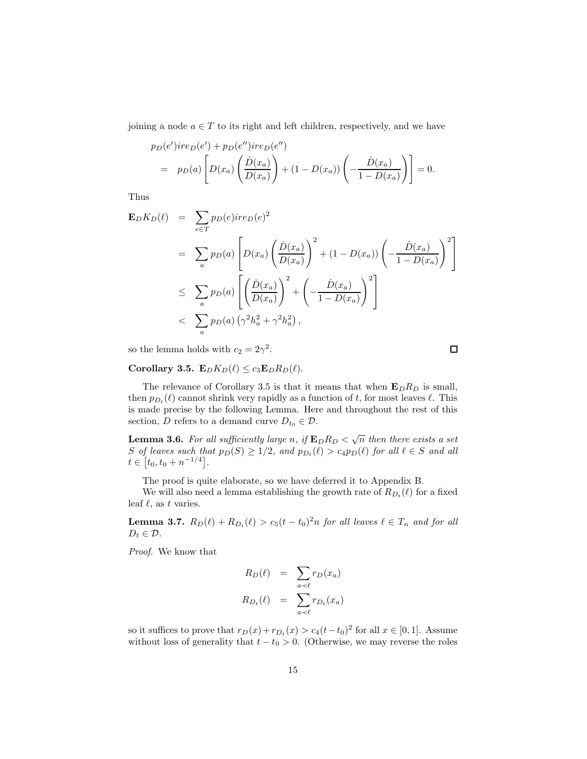joining a node  $a \in T$  to its right and left children, respectively, and we have

$$
p_D(e')ire_D(e') + p_D(e'')ire_D(e'')
$$
  
=  $p_D(a) \left[ D(x_a) \left( \frac{\dot{D}(x_a)}{D(x_a)} \right) + (1 - D(x_a)) \left( -\frac{\dot{D}(x_a)}{1 - D(x_a)} \right) \right] = 0.$ 

Thus

$$
\mathbf{E}_{D}K_{D}(\ell) = \sum_{e \in T} p_{D}(e)ire_{D}(e)^{2}
$$
\n
$$
= \sum_{a} p_{D}(a) \left[ D(x_{a}) \left( \frac{\dot{D}(x_{a})}{D(x_{a})} \right)^{2} + (1 - D(x_{a})) \left( -\frac{\dot{D}(x_{a})}{1 - D(x_{a})} \right)^{2} \right]
$$
\n
$$
\leq \sum_{a} p_{D}(a) \left[ \left( \frac{\dot{D}(x_{a})}{D(x_{a})} \right)^{2} + \left( -\frac{\dot{D}(x_{a})}{1 - D(x_{a})} \right)^{2} \right]
$$
\n
$$
< \sum_{a} p_{D}(a) \left( \gamma^{2} h_{a}^{2} + \gamma^{2} h_{a}^{2} \right),
$$

so the lemma holds with  $c_2 = 2\gamma^2$ .

Corollary 3.5.  $\mathbf{E}_D K_D(\ell) \leq c_3 \mathbf{E}_D R_D(\ell)$ .

The relevance of Corollary 3.5 is that it means that when  $\mathbf{E}_D R_D$  is small, then  $p_{D_t}(\ell)$  cannot shrink very rapidly as a function of t, for most leaves  $\ell$ . This is made precise by the following Lemma. Here and throughout the rest of this section, D refers to a demand curve  $D_{t_0} \in \mathcal{D}$ .

**Lemma 3.6.** For all sufficiently large n, if  $\mathbf{E}_D R_D < \sqrt{n}$  then there exists a set S of leaves such that  $p_D(S) \geq 1/2$ , and  $p_{D_t}(\ell) > c_4 p_D(\ell)$  for all  $\ell \in S$  and all  $t \in [t_0, t_0 + n^{-1/4}].$ 

The proof is quite elaborate, so we have deferred it to Appendix B.

We will also need a lemma establishing the growth rate of  $R_{D_t}(\ell)$  for a fixed leaf  $\ell$ , as t varies.

**Lemma 3.7.**  $R_D(\ell) + R_{D_t}(\ell) > c_5(t - t_0)^2 n$  for all leaves  $\ell \in T_n$  and for all  $D_t \in \mathcal{D}$ .

Proof. We know that

$$
R_D(\ell) = \sum_{a \prec \ell} r_D(x_a)
$$
  

$$
R_{D_t}(\ell) = \sum_{a \prec \ell} r_{D_t}(x_a)
$$

so it suffices to prove that  $r_D(x) + r_{D_t}(x) > c_4(t-t_0)^2$  for all  $x \in [0,1]$ . Assume without loss of generality that  $t - t_0 > 0$ . (Otherwise, we may reverse the roles

 $\Box$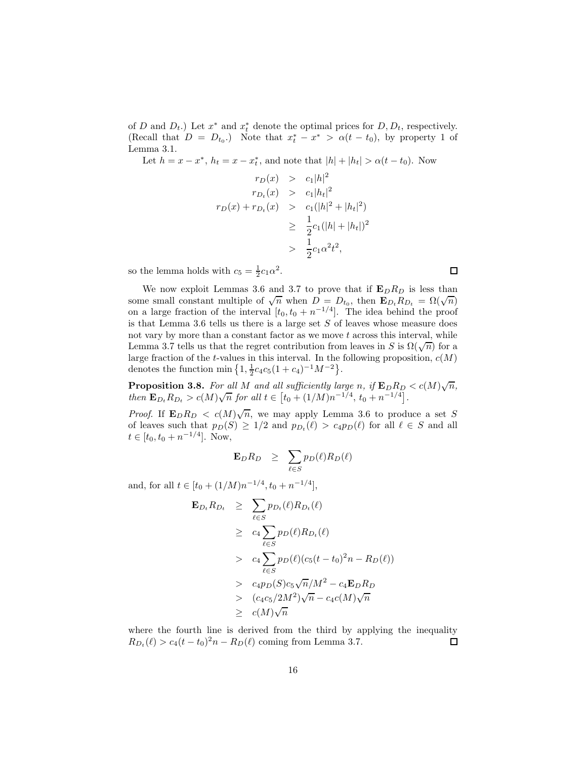of D and  $D_t$ .) Let  $x^*$  and  $x_t^*$  denote the optimal prices for  $D, D_t$ , respectively. (Recall that  $D = D_{t_0}$ .) Note that  $x_t^* - x^* > \alpha(t - t_0)$ , by property 1 of Lemma 3.1.

Let  $h = x - x^*$ ,  $h_t = x - x_t^*$ , and note that  $|h| + |h_t| > \alpha(t - t_0)$ . Now

$$
r_D(x) > c_1|h|^2
$$
  
\n
$$
r_{D_t}(x) > c_1|h_t|^2
$$
  
\n
$$
r_D(x) + r_{D_t}(x) > c_1(|h|^2 + |h_t|^2)
$$
  
\n
$$
\geq \frac{1}{2}c_1(|h| + |h_t|)^2
$$
  
\n
$$
> \frac{1}{2}c_1\alpha^2 t^2,
$$

so the lemma holds with  $c_5 = \frac{1}{2}c_1\alpha^2$ .

We now exploit Lemmas 3.6 and 3.7 to prove that if  $\mathbf{E}_D R_D$  is less than some small constant multiple of  $\sqrt{n}$  when  $D = D_{t_0}$ , then  $\mathbf{E}_{D_t} R_{D_t} = \Omega(\sqrt{n})$ on a large fraction of the interval  $[t_0, t_0 + n^{-1/4}]$ . The idea behind the proof is that Lemma 3.6 tells us there is a large set  $S$  of leaves whose measure does not vary by more than a constant factor as we move  $t$  across this interval, while Lemma 3.7 tells us that the regret contribution from leaves in S is  $\Omega(\sqrt{n})$  for a large fraction of the t-values in this interval. In the following proposition,  $c(M)$ denotes the function min  $\left\{1, \frac{1}{2}c_4c_5(1+c_4)^{-1}M^{-2}\right\}$ .

**Proposition 3.8.** For all M and all sufficiently large n, if  $\mathbf{E}_D R_D < c(M) \sqrt{n}$ , then  $\mathbf{E}_{D_t} R_{D_t} > c(M) \sqrt{n}$  for all  $t \in [t_0 + (1/M) n^{-1/4}, t_0 + n^{-1/4}]$ .

*Proof.* If  $\mathbf{E}_D R_D < c(M) \sqrt{n}$ , we may apply Lemma 3.6 to produce a set S of leaves such that  $p_D(S) \geq 1/2$  and  $p_{D_t}(\ell) > c_4 p_D(\ell)$  for all  $\ell \in S$  and all  $t \in [t_0, t_0 + n^{-1/4}]$ . Now,

$$
\mathbf{E}_D R_D \geq \sum_{\ell \in S} p_D(\ell) R_D(\ell)
$$

and, for all  $t \in [t_0 + (1/M)n^{-1/4}, t_0 + n^{-1/4}],$ 

$$
\mathbf{E}_{D_t} R_{D_t} \geq \sum_{\ell \in S} p_{D_t}(\ell) R_{D_t}(\ell)
$$
\n
$$
\geq c_4 \sum_{\ell \in S} p_D(\ell) R_{D_t}(\ell)
$$
\n
$$
> c_4 \sum_{\ell \in S} p_D(\ell) (c_5(t - t_0)^2 n - R_D(\ell))
$$
\n
$$
> c_4 p_D(S) c_5 \sqrt{n}/M^2 - c_4 \mathbf{E}_D R_D
$$
\n
$$
> (c_4 c_5/2M^2) \sqrt{n} - c_4 c(M) \sqrt{n}
$$
\n
$$
\geq c(M) \sqrt{n}
$$

where the fourth line is derived from the third by applying the inequality  $R_{D_t}(\ell) > c_4(t - t_0)^2 n - R_D(\ell)$  coming from Lemma 3.7.  $\Box$ 

 $\Box$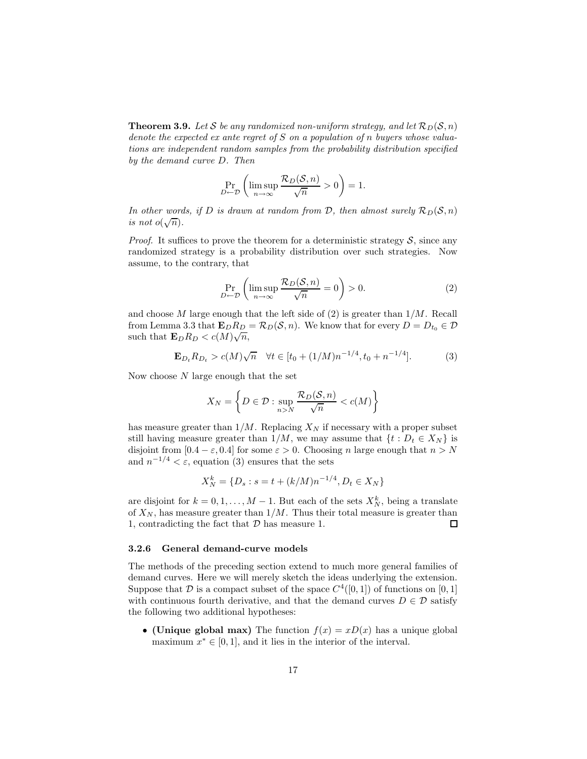**Theorem 3.9.** Let S be any randomized non-uniform strategy, and let  $\mathcal{R}_D(\mathcal{S}, n)$ denote the expected ex ante regret of  $S$  on a population of n buyers whose valuations are independent random samples from the probability distribution specified by the demand curve D. Then

$$
\Pr_{D \leftarrow \mathcal{D}} \left( \limsup_{n \to \infty} \frac{\mathcal{R}_D(\mathcal{S}, n)}{\sqrt{n}} > 0 \right) = 1.
$$

In other words, if D is drawn at random from D, then almost surely  $\mathcal{R}_D(\mathcal{S}, n)$ is not  $o(\sqrt{n})$ .

*Proof.* It suffices to prove the theorem for a deterministic strategy  $S$ , since any randomized strategy is a probability distribution over such strategies. Now assume, to the contrary, that

$$
\Pr_{D \leftarrow \mathcal{D}} \left( \limsup_{n \to \infty} \frac{\mathcal{R}_D(\mathcal{S}, n)}{\sqrt{n}} = 0 \right) > 0. \tag{2}
$$

and choose M large enough that the left side of  $(2)$  is greater than  $1/M$ . Recall from Lemma 3.3 that  $\mathbf{E}_D R_D = \mathcal{R}_D(\mathcal{S}, n)$ . We know that for every  $D = D_{t_0} \in \mathcal{D}$ such that  $\mathbf{E}_D R_D < c(M) \sqrt{n}$ ,

$$
\mathbf{E}_{D_t} R_{D_t} > c(M) \sqrt{n} \quad \forall t \in [t_0 + (1/M)n^{-1/4}, t_0 + n^{-1/4}]. \tag{3}
$$

Now choose  $N$  large enough that the set

$$
X_N = \left\{ D \in \mathcal{D} : \sup_{n > N} \frac{\mathcal{R}_D(\mathcal{S}, n)}{\sqrt{n}} < c(M) \right\}
$$

has measure greater than  $1/M$ . Replacing  $X_N$  if necessary with a proper subset still having measure greater than  $1/M$ , we may assume that  $\{t : D_t \in X_N\}$  is disjoint from  $[0.4 - \varepsilon, 0.4]$  for some  $\varepsilon > 0$ . Choosing n large enough that  $n > N$ and  $n^{-1/4} < \varepsilon$ , equation (3) ensures that the sets

$$
X_N^k = \{D_s : s = t + (k/M)n^{-1/4}, D_t \in X_N\}
$$

are disjoint for  $k = 0, 1, ..., M - 1$ . But each of the sets  $X_N^k$ , being a translate of  $X_N$ , has measure greater than  $1/M$ . Thus their total measure is greater than 1, contradicting the fact that  $D$  has measure 1.  $\Box$ 

#### 3.2.6 General demand-curve models

The methods of the preceding section extend to much more general families of demand curves. Here we will merely sketch the ideas underlying the extension. Suppose that  $D$  is a compact subset of the space  $C^4([0,1])$  of functions on  $[0,1]$ with continuous fourth derivative, and that the demand curves  $D \in \mathcal{D}$  satisfy the following two additional hypotheses:

• (Unique global max) The function  $f(x) = xD(x)$  has a unique global maximum  $x^* \in [0, 1]$ , and it lies in the interior of the interval.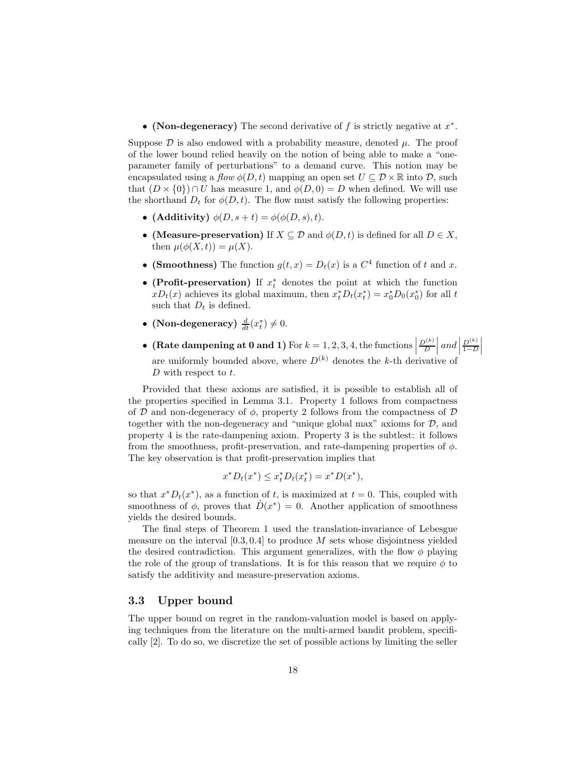• (Non-degeneracy) The second derivative of f is strictly negative at  $x^*$ .

Suppose  $\mathcal D$  is also endowed with a probability measure, denoted  $\mu$ . The proof of the lower bound relied heavily on the notion of being able to make a "oneparameter family of perturbations" to a demand curve. This notion may be encapsulated using a flow  $\phi(D, t)$  mapping an open set  $U \subseteq \mathcal{D} \times \mathbb{R}$  into  $\mathcal{D}$ , such that  $(D \times \{0\}) \cap U$  has measure 1, and  $\phi(D, 0) = D$  when defined. We will use the shorthand  $D_t$  for  $\phi(D,t)$ . The flow must satisfy the following properties:

- (Additivity)  $\phi(D, s+t) = \phi(\phi(D, s), t)$ .
- (Measure-preservation) If  $X \subseteq \mathcal{D}$  and  $\phi(D, t)$  is defined for all  $D \in X$ , then  $\mu(\phi(X,t)) = \mu(X)$ .
- (Smoothness) The function  $g(t, x) = D_t(x)$  is a  $C^4$  function of t and x.
- (Profit-preservation) If  $x_t^*$  denotes the point at which the function  $xD_t(x)$  achieves its global maximum, then  $x_t^* D_t(x_t^*) = x_0^* D_0(x_0^*)$  for all t such that  $D_t$  is defined.
- (Non-degeneracy)  $\frac{d}{dt}(x_t^*) \neq 0$ .
- (Rate dampening at 0 and 1) For  $k = 1, 2, 3, 4$ , the functions  $\frac{D^{(k)}}{D}$  and  $D^{(k)}$  $1-D$  $\begin{array}{c} \begin{array}{c} \begin{array}{c} \end{array}\\ \begin{array}{c} \end{array} \end{array} \end{array}$ are uniformly bounded above, where  $D^{(k)}$  denotes the k-th derivative of D with respect to  $t$ .

Provided that these axioms are satisfied, it is possible to establish all of the properties specified in Lemma 3.1. Property 1 follows from compactness of D and non-degeneracy of  $\phi$ , property 2 follows from the compactness of D together with the non-degeneracy and "unique global max" axioms for  $\mathcal{D}$ , and property 4 is the rate-dampening axiom. Property 3 is the subtlest: it follows from the smoothness, profit-preservation, and rate-dampening properties of  $\phi$ . The key observation is that profit-preservation implies that

$$
x^* D_t(x^*) \le x_t^* D_t(x_t^*) = x^* D(x^*),
$$

so that  $x^*D_t(x^*)$ , as a function of t, is maximized at  $t = 0$ . This, coupled with smoothness of  $\phi$ , proves that  $\dot{D}(x^*) = 0$ . Another application of smoothness yields the desired bounds.

The final steps of Theorem 1 used the translation-invariance of Lebesgue measure on the interval  $[0.3, 0.4]$  to produce M sets whose disjointness yielded the desired contradiction. This argument generalizes, with the flow  $\phi$  playing the role of the group of translations. It is for this reason that we require  $\phi$  to satisfy the additivity and measure-preservation axioms.

## 3.3 Upper bound

The upper bound on regret in the random-valuation model is based on applying techniques from the literature on the multi-armed bandit problem, specifically [2]. To do so, we discretize the set of possible actions by limiting the seller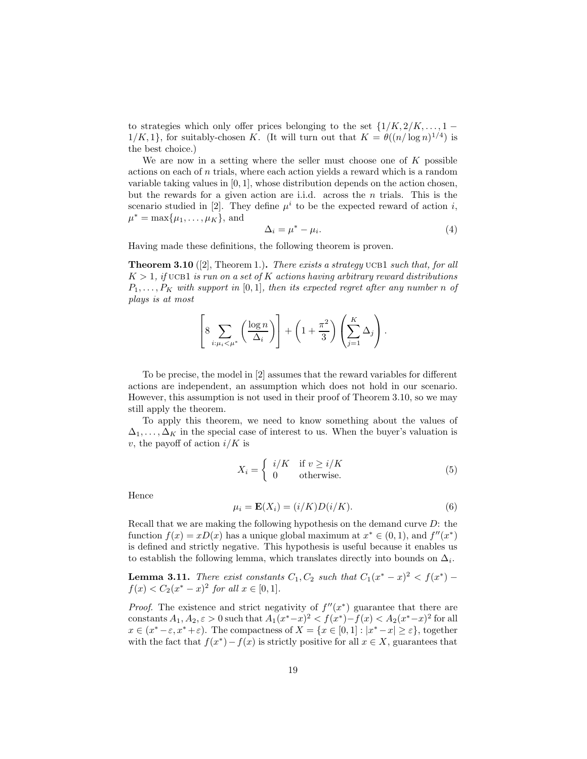to strategies which only offer prices belonging to the set  $\{1/K, 2/K, \ldots, 1-\}$  $1/K, 1$ , for suitably-chosen K. (It will turn out that  $K = \theta((n/\log n)^{1/4})$  is the best choice.)

We are now in a setting where the seller must choose one of  $K$  possible actions on each of  $n$  trials, where each action yields a reward which is a random variable taking values in [0, 1], whose distribution depends on the action chosen, but the rewards for a given action are i.i.d. across the  $n$  trials. This is the scenario studied in [2]. They define  $\mu^{i}$  to be the expected reward of action *i*,  $\mu^* = \max{\mu_1, ..., \mu_K}$ , and

$$
\Delta_i = \mu^* - \mu_i. \tag{4}
$$

Having made these definitions, the following theorem is proven.

**Theorem 3.10** ([2], Theorem 1.). There exists a strategy UCB1 such that, for all  $K > 1$ , if UCB1 is run on a set of K actions having arbitrary reward distributions  $P_1, \ldots, P_K$  with support in  $[0, 1]$ , then its expected regret after any number n of plays is at most

$$
\[8 \sum_{i:\mu_i < \mu^*} \left(\frac{\log n}{\Delta_i}\right)\] + \left(1 + \frac{\pi^2}{3}\right) \left(\sum_{j=1}^K \Delta_j\right).
$$

To be precise, the model in [2] assumes that the reward variables for different actions are independent, an assumption which does not hold in our scenario. However, this assumption is not used in their proof of Theorem 3.10, so we may still apply the theorem.

To apply this theorem, we need to know something about the values of  $\Delta_1, \ldots, \Delta_K$  in the special case of interest to us. When the buyer's valuation is v, the payoff of action  $i/K$  is

$$
X_i = \begin{cases} i/K & \text{if } v \ge i/K \\ 0 & \text{otherwise.} \end{cases}
$$
 (5)

Hence

$$
\mu_i = \mathbf{E}(X_i) = (i/K)D(i/K). \tag{6}
$$

Recall that we are making the following hypothesis on the demand curve  $D$ : the function  $f(x) = xD(x)$  has a unique global maximum at  $x^* \in (0,1)$ , and  $f''(x^*)$ is defined and strictly negative. This hypothesis is useful because it enables us to establish the following lemma, which translates directly into bounds on  $\Delta_i$ .

**Lemma 3.11.** There exist constants  $C_1, C_2$  such that  $C_1(x^* - x)^2 < f(x^*)$  $f(x) < C_2(x^* - x)^2$  for all  $x \in [0, 1]$ .

*Proof.* The existence and strict negativity of  $f''(x^*)$  guarantee that there are constants  $A_1, A_2, \varepsilon > 0$  such that  $A_1(x^* - x)^2 < f(x^*) - f(x) < A_2(x^* - x)^2$  for all  $x \in (x^* - \varepsilon, x^* + \varepsilon)$ . The compactness of  $X = \{x \in [0, 1] : |x^* - x| \ge \varepsilon\}$ , together with the fact that  $f(x^*) - f(x)$  is strictly positive for all  $x \in X$ , guarantees that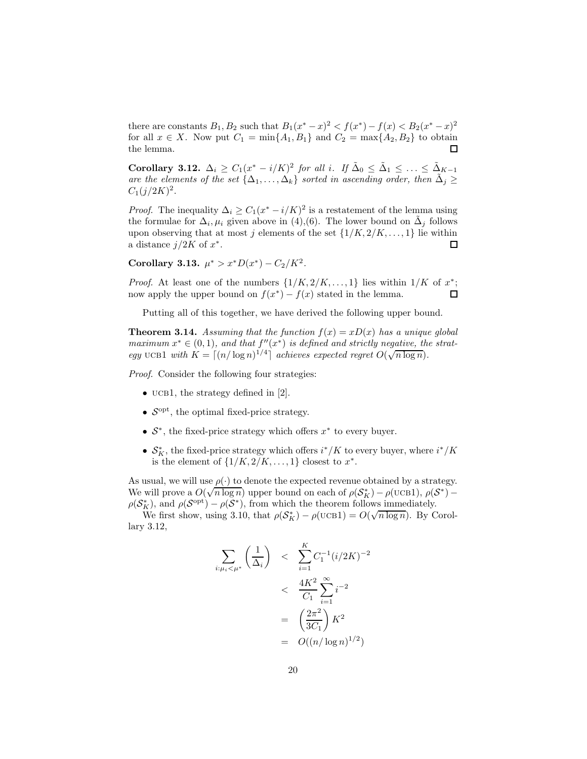there are constants  $B_1, B_2$  such that  $B_1(x^* - x)^2 < f(x^*) - f(x) < B_2(x^* - x)^2$ for all  $x \in X$ . Now put  $C_1 = \min\{A_1, B_1\}$  and  $C_2 = \max\{A_2, B_2\}$  to obtain the lemma.

Corollary 3.12.  $\Delta_i \geq C_1(x^* - i/K)^2$  for all i. If  $\tilde{\Delta}_0 \leq \tilde{\Delta}_1 \leq \ldots \leq \tilde{\Delta}_{K-1}$ are the elements of the set  $\{\Delta_1,\ldots,\Delta_k\}$  sorted in ascending order, then  $\tilde{\Delta}_j \geq$  $C_1(j/2K)^2$ .

*Proof.* The inequality  $\Delta_i \geq C_1(x^* - i/K)^2$  is a restatement of the lemma using the formulae for  $\Delta_i, \mu_i$  given above in (4),(6). The lower bound on  $\tilde{\Delta}_j$  follows upon observing that at most j elements of the set  $\{1/K, 2/K, ..., 1\}$  lie within a distance  $j/2K$  of  $x^*$ . a distance  $j/2K$  of  $x^*$ .

Corollary 3.13.  $\mu^* > x^*D(x^*) - C_2/K^2$ .

*Proof.* At least one of the numbers  $\{1/K, 2/K, \ldots, 1\}$  lies within  $1/K$  of  $x^*$ ; now apply the upper bound on  $f(x^*) - f(x)$  stated in the lemma.

Putting all of this together, we have derived the following upper bound.

**Theorem 3.14.** Assuming that the function  $f(x) = xD(x)$  has a unique global maximum  $x^* \in (0,1)$ , and that  $f''(x^*)$  is defined and strictly negative, the strategy UCB1 with  $K = \lceil (n/\log n)^{1/4} \rceil$  achieves expected regret  $O(\sqrt{n \log n})$ .

Proof. Consider the following four strategies:

- UCB1, the strategy defined in  $[2]$ .
- $S<sup>opt</sup>$ , the optimal fixed-price strategy.
- $S^*$ , the fixed-price strategy which offers  $x^*$  to every buyer.
- $\mathcal{S}_K^*$ , the fixed-price strategy which offers  $i^*/K$  to every buyer, where  $i^*/K$ is the element of  $\{1/K, 2/K, \ldots, 1\}$  closest to  $x^*$ .

As usual, we will use  $\rho(\cdot)$  to denote the expected revenue obtained by a strategy. We will prove a  $O(\sqrt{n \log n})$  upper bound on each of  $\rho(S_K^*) - \rho(\text{UCB1}), \rho(S^*) \rho(S_K^*)$ , and  $\rho(S^{\text{opt}}) - \rho(S^*)$ , from which the theorem follows immediately.

We first show, using 3.10, that  $\rho(S_K^*) - \rho(\text{UCB1}) = O(\sqrt{n \log n})$ . By Corollary 3.12,

$$
\sum_{i:\mu_i < \mu^*} \left(\frac{1}{\Delta_i}\right) < \sum_{i=1}^K C_1^{-1} (i/2K)^{-2} \\
&< \frac{4K^2}{C_1} \sum_{i=1}^\infty i^{-2} \\
&= \left(\frac{2\pi^2}{3C_1}\right) K^2 \\
&= O((n/\log n)^{1/2})
$$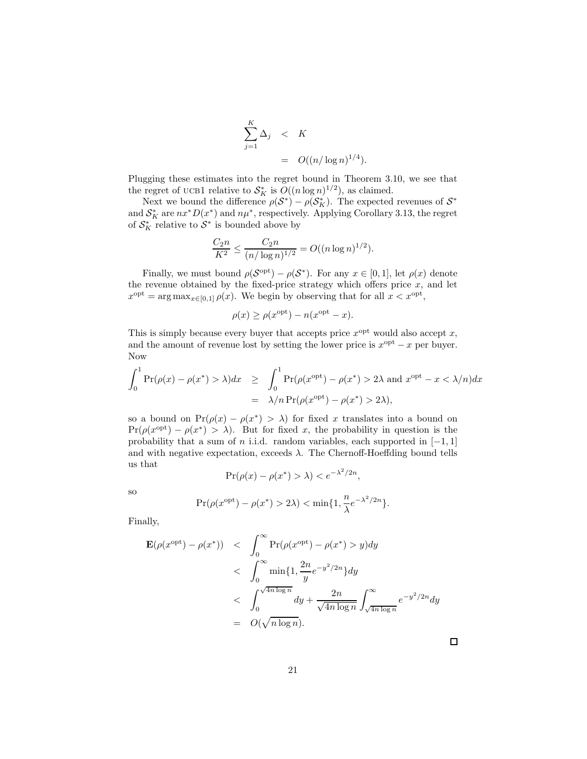$$
\sum_{j=1}^{K} \Delta_j \leq K
$$
  
=  $O((n/\log n)^{1/4}).$ 

Plugging these estimates into the regret bound in Theorem 3.10, we see that the regret of UCB1 relative to  $S_K^*$  is  $O((n \log n)^{1/2})$ , as claimed.

Next we bound the difference  $\rho(\mathcal{S}^*) - \rho(\mathcal{S}_K^*)$ . The expected revenues of  $\mathcal{S}^*$ and  $S_K^*$  are  $nx^*D(x^*)$  and  $n\mu^*$ , respectively. Applying Corollary 3.13, the regret of  $S_K^*$  relative to  $S^*$  is bounded above by

$$
\frac{C_2 n}{K^2} \le \frac{C_2 n}{(n/\log n)^{1/2}} = O((n \log n)^{1/2}).
$$

Finally, we must bound  $\rho(\mathcal{S}^{\text{opt}}) - \rho(\mathcal{S}^*)$ . For any  $x \in [0, 1]$ , let  $\rho(x)$  denote the revenue obtained by the fixed-price strategy which offers price  $x$ , and let  $x^{\text{opt}} = \arg \max_{x \in [0,1]} \rho(x)$ . We begin by observing that for all  $x < x^{\text{opt}}$ ,

$$
\rho(x) \ge \rho(x^{\text{opt}}) - n(x^{\text{opt}} - x).
$$

This is simply because every buyer that accepts price  $x^{\text{opt}}$  would also accept x, and the amount of revenue lost by setting the lower price is  $x^{\text{opt}} - x$  per buyer. Now

$$
\int_0^1 \Pr(\rho(x) - \rho(x^*) > \lambda) dx \ge \int_0^1 \Pr(\rho(x^{\text{opt}}) - \rho(x^*) > 2\lambda \text{ and } x^{\text{opt}} - x < \lambda/n) dx
$$

$$
= \lambda/n \Pr(\rho(x^{\text{opt}}) - \rho(x^*) > 2\lambda),
$$

so a bound on  $Pr(\rho(x) - \rho(x^*)) > \lambda$  for fixed x translates into a bound on  $Pr(\rho(x^{\text{opt}}) - \rho(x^*) > \lambda)$ . But for fixed x, the probability in question is the probability that a sum of n i.i.d. random variables, each supported in  $[-1, 1]$ and with negative expectation, exceeds  $\lambda$ . The Chernoff-Hoeffding bound tells us that

$$
\Pr(\rho(x) - \rho(x^*) > \lambda) < e^{-\lambda^2/2n},
$$

so

$$
\Pr(\rho(x^{\text{opt}}) - \rho(x^*) > 2\lambda) < \min\{1, \frac{n}{\lambda}e^{-\lambda^2/2n}\}.
$$

Finally,

$$
\mathbf{E}(\rho(x^{\text{opt}}) - \rho(x^*)) \quad < \quad \int_0^\infty \Pr(\rho(x^{\text{opt}}) - \rho(x^*) > y) dy
$$
\n
$$
\quad < \quad \int_0^\infty \min\{1, \frac{2n}{y} e^{-y^2/2n}\} dy
$$
\n
$$
\quad < \quad \int_0^{\sqrt{4n \log n}} dy + \frac{2n}{\sqrt{4n \log n}} \int_{\sqrt{4n \log n}}^\infty e^{-y^2/2n} dy
$$
\n
$$
\quad = \quad O(\sqrt{n \log n}).
$$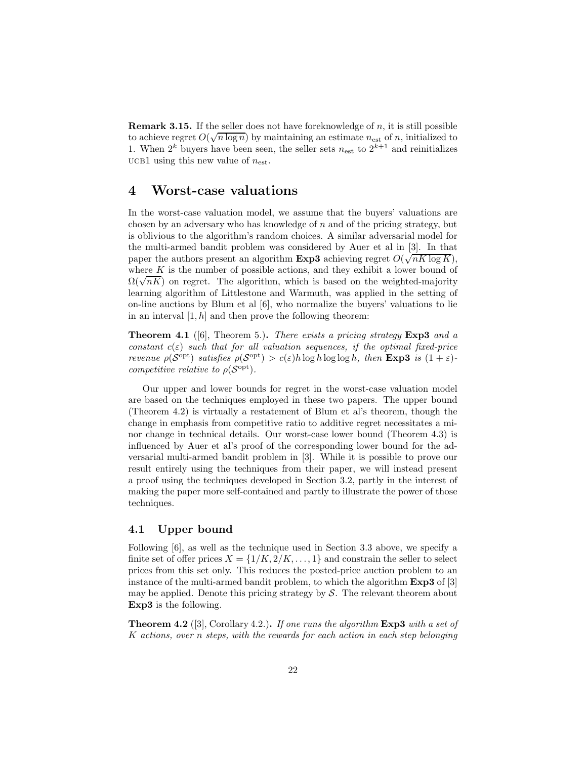**Remark 3.15.** If the seller does not have foreknowledge of  $n$ , it is still possible to achieve regret  $O(\sqrt{n \log n})$  by maintaining an estimate  $n_{est}$  of n, initialized to 1. When  $2^k$  buyers have been seen, the seller sets  $n_{est}$  to  $2^{k+1}$  and reinitializes UCB1 using this new value of  $n_{est}$ .

# 4 Worst-case valuations

In the worst-case valuation model, we assume that the buyers' valuations are chosen by an adversary who has knowledge of  $n$  and of the pricing strategy, but is oblivious to the algorithm's random choices. A similar adversarial model for the multi-armed bandit problem was considered by Auer et al in [3]. In that paper the authors present an algorithm  $Exp3$  achieving regret  $O(\sqrt{nK \log K})$ , where  $K$  is the number of possible actions, and they exhibit a lower bound of  $\Omega(\sqrt{nK})$  on regret. The algorithm, which is based on the weighted-majority learning algorithm of Littlestone and Warmuth, was applied in the setting of on-line auctions by Blum et al [6], who normalize the buyers' valuations to lie in an interval  $[1, h]$  and then prove the following theorem:

**Theorem 4.1** ([6], Theorem 5.). There exists a pricing strategy  $\text{Exp3}$  and a constant  $c(\varepsilon)$  such that for all valuation sequences, if the optimal fixed-price *revenue*  $\rho(\mathcal{S}^{\text{opt}})$  satisfies  $\rho(\mathcal{S}^{\text{opt}}) > c(\varepsilon)h \log h \log \log h$ , then **Exp3** is  $(1 + \varepsilon)$ competitive relative to  $\rho(\mathcal{S}^{\text{opt}})$ .

Our upper and lower bounds for regret in the worst-case valuation model are based on the techniques employed in these two papers. The upper bound (Theorem 4.2) is virtually a restatement of Blum et al's theorem, though the change in emphasis from competitive ratio to additive regret necessitates a minor change in technical details. Our worst-case lower bound (Theorem 4.3) is influenced by Auer et al's proof of the corresponding lower bound for the adversarial multi-armed bandit problem in [3]. While it is possible to prove our result entirely using the techniques from their paper, we will instead present a proof using the techniques developed in Section 3.2, partly in the interest of making the paper more self-contained and partly to illustrate the power of those techniques.

## 4.1 Upper bound

Following [6], as well as the technique used in Section 3.3 above, we specify a finite set of offer prices  $X = \{1/K, 2/K, \ldots, 1\}$  and constrain the seller to select prices from this set only. This reduces the posted-price auction problem to an instance of the multi-armed bandit problem, to which the algorithm Exp3 of [3] may be applied. Denote this pricing strategy by  $S$ . The relevant theorem about Exp3 is the following.

**Theorem 4.2** ([3], Corollary 4.2.). If one runs the algorithm  $\text{Exp3}$  with a set of K actions, over n steps, with the rewards for each action in each step belonging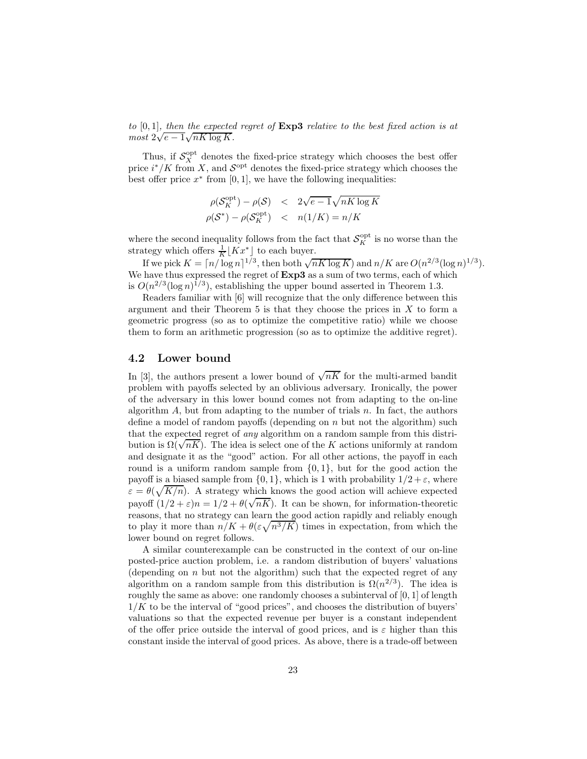to  $[0, 1]$ , then the expected regret of  $Exp3$  relative to the best fixed action is at  $most \ 2\sqrt{e-1}\sqrt{nK \log K}.$ 

Thus, if  $S_X^{\text{opt}}$  denotes the fixed-price strategy which chooses the best offer price  $i^*/K$  from X, and  $S^{\text{opt}}$  denotes the fixed-price strategy which chooses the best offer price  $x^*$  from [0, 1], we have the following inequalities:

$$
\rho(S_K^{\text{opt}}) - \rho(S) < 2\sqrt{e - 1} \sqrt{nK \log K} \n\rho(S^*) - \rho(S_K^{\text{opt}}) < n(1/K) = n/K
$$

where the second inequality follows from the fact that  $\mathcal{S}_K^{\text{opt}}$  is no worse than the strategy which offers  $\frac{1}{K} [Kx^*]$  to each buyer.

If we pick  $K = \lceil n / \log n \rceil^{1/3}$ , then both  $\sqrt{nK \log K}$  and  $n/K$  are  $O(n^{2/3} (\log n)^{1/3})$ . We have thus expressed the regret of  $Exp3$  as a sum of two terms, each of which is  $O(n^{2/3}(\log n)^{1/3})$ , establishing the upper bound asserted in Theorem 1.3.

Readers familiar with [6] will recognize that the only difference between this argument and their Theorem  $5$  is that they choose the prices in  $X$  to form a geometric progress (so as to optimize the competitive ratio) while we choose them to form an arithmetic progression (so as to optimize the additive regret).

## 4.2 Lower bound

In [3], the authors present a lower bound of  $\sqrt{nK}$  for the multi-armed bandit problem with payoffs selected by an oblivious adversary. Ironically, the power of the adversary in this lower bound comes not from adapting to the on-line algorithm  $A$ , but from adapting to the number of trials  $n$ . In fact, the authors define a model of random payoffs (depending on  $n$  but not the algorithm) such that the expected regret of any algorithm on a random sample from this distribution is  $\Omega(\sqrt{nK})$ . The idea is select one of the K actions uniformly at random and designate it as the "good" action. For all other actions, the payoff in each round is a uniform random sample from  $\{0, 1\}$ , but for the good action the payoff is a biased sample from  $\{0, 1\}$ , which is 1 with probability  $1/2 + \varepsilon$ , where  $\varepsilon = \theta(\sqrt{K/n})$ . A strategy which knows the good action will achieve expected payoff  $(1/2 + \varepsilon)n = 1/2 + \theta(\sqrt{nK})$ . It can be shown, for information-theoretic reasons, that no strategy can learn the good action rapidly and reliably enough to play it more than  $n/K + \theta(\varepsilon \sqrt{n^3/K})$  times in expectation, from which the lower bound on regret follows.

A similar counterexample can be constructed in the context of our on-line posted-price auction problem, i.e. a random distribution of buyers' valuations (depending on  $n$  but not the algorithm) such that the expected regret of any algorithm on a random sample from this distribution is  $\Omega(n^{2/3})$ . The idea is roughly the same as above: one randomly chooses a subinterval of [0, 1] of length  $1/K$  to be the interval of "good prices", and chooses the distribution of buyers' valuations so that the expected revenue per buyer is a constant independent of the offer price outside the interval of good prices, and is  $\varepsilon$  higher than this constant inside the interval of good prices. As above, there is a trade-off between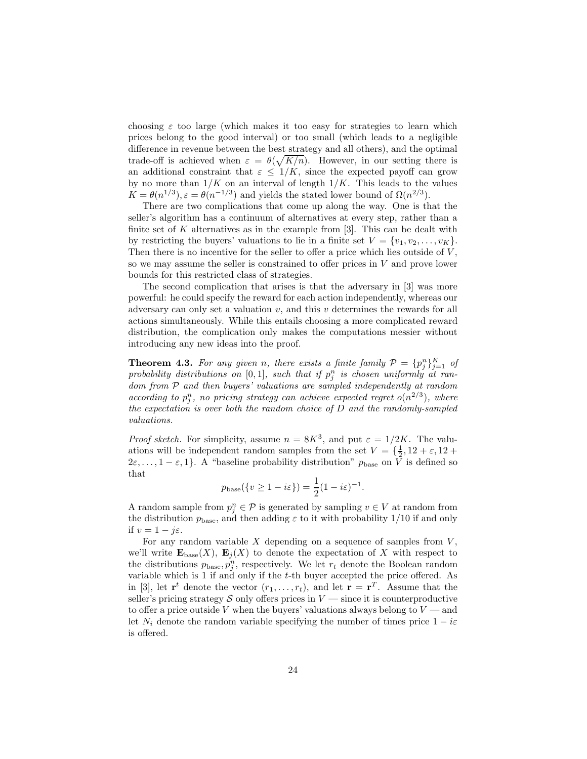choosing  $\varepsilon$  too large (which makes it too easy for strategies to learn which prices belong to the good interval) or too small (which leads to a negligible difference in revenue between the best strategy and all others), and the optimal trade-off is achieved when  $\varepsilon = \theta(\sqrt{K/n})$ . However, in our setting there is an additional constraint that  $\varepsilon \leq 1/K$ , since the expected payoff can grow by no more than  $1/K$  on an interval of length  $1/K$ . This leads to the values  $K = \theta(n^{1/3}), \varepsilon = \theta(n^{-1/3})$  and yields the stated lower bound of  $\Omega(n^{2/3})$ .

There are two complications that come up along the way. One is that the seller's algorithm has a continuum of alternatives at every step, rather than a finite set of K alternatives as in the example from  $[3]$ . This can be dealt with by restricting the buyers' valuations to lie in a finite set  $V = \{v_1, v_2, \ldots, v_K\}.$ Then there is no incentive for the seller to offer a price which lies outside of  $V$ , so we may assume the seller is constrained to offer prices in  $V$  and prove lower bounds for this restricted class of strategies.

The second complication that arises is that the adversary in [3] was more powerful: he could specify the reward for each action independently, whereas our adversary can only set a valuation  $v$ , and this  $v$  determines the rewards for all actions simultaneously. While this entails choosing a more complicated reward distribution, the complication only makes the computations messier without introducing any new ideas into the proof.

**Theorem 4.3.** For any given n, there exists a finite family  $\mathcal{P} = \{p_j^n\}_{j=1}^K$  of probability distributions on  $[0,1]$ , such that if  $p_j^n$  is chosen uniformly at random from  $P$  and then buyers' valuations are sampled independently at random according to  $p_j^n$ , no pricing strategy can achieve expected regret  $o(n^{2/3})$ , where the expectation is over both the random choice of  $D$  and the randomly-sampled valuations.

*Proof sketch.* For simplicity, assume  $n = 8K^3$ , and put  $\varepsilon = 1/2K$ . The valuations will be independent random samples from the set  $V = \{\frac{1}{2}, 12 + \varepsilon, 12 + \dots\}$  $2\varepsilon, \ldots, 1-\varepsilon, 1$ . A "baseline probability distribution"  $p_{base}$  on V is defined so that

$$
p_{\text{base}}(\{v \ge 1 - i\varepsilon\}) = \frac{1}{2}(1 - i\varepsilon)^{-1}.
$$

A random sample from  $p_j^n \in \mathcal{P}$  is generated by sampling  $v \in V$  at random from the distribution  $p_{base}$ , and then adding  $\varepsilon$  to it with probability 1/10 if and only if  $v = 1 - j\varepsilon$ .

For any random variable  $X$  depending on a sequence of samples from  $V$ , we'll write  $\mathbf{E}_{base}(X)$ ,  $\mathbf{E}_i(X)$  to denote the expectation of X with respect to the distributions  $p_{base}, p_j^n$ , respectively. We let  $r_t$  denote the Boolean random variable which is 1 if and only if the t-th buyer accepted the price offered. As in [3], let  $\mathbf{r}^t$  denote the vector  $(r_1,\ldots,r_t)$ , and let  $\mathbf{r} = \mathbf{r}^T$ . Assume that the seller's pricing strategy S only offers prices in  $V$  — since it is counterproductive to offer a price outside V when the buyers' valuations always belong to  $V$  — and let  $N_i$  denote the random variable specifying the number of times price  $1 - i\varepsilon$ is offered.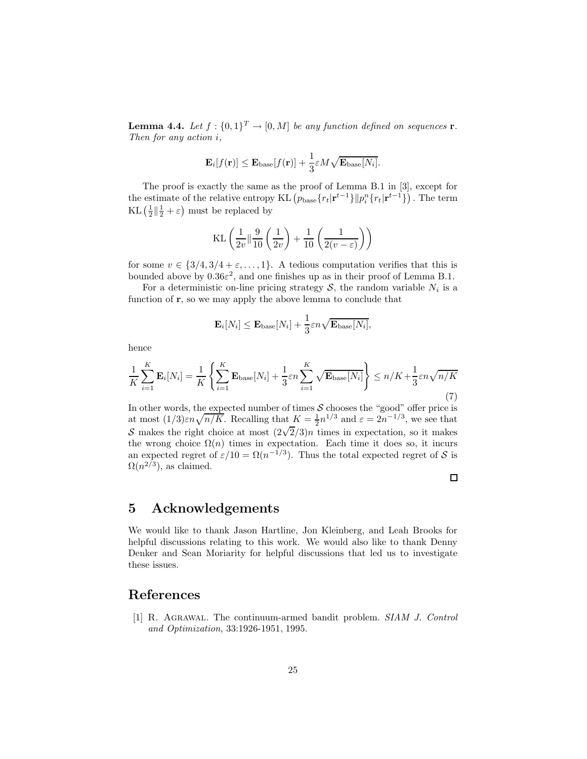**Lemma 4.4.** Let  $f : \{0,1\}^T \to [0,M]$  be any function defined on sequences **r**. Then for any action i,

$$
\mathbf{E}_{i}[f(\mathbf{r})] \leq \mathbf{E}_{\text{base}}[f(\mathbf{r})] + \frac{1}{3} \varepsilon M \sqrt{\mathbf{E}_{\text{base}}[N_i]}.
$$

The proof is exactly the same as the proof of Lemma B.1 in [3], except for the estimate of the relative entropy KL  $(p_{base} \{r_t|r^{t-1}\} || p_i^n \{r_t|r^{t-1}\})$ . The term KL  $\left(\frac{1}{2}\right|\left|\frac{1}{2}+\varepsilon\right)$  must be replaced by

$$
KL\left(\frac{1}{2v} \left\| \frac{9}{10} \left( \frac{1}{2v} \right) + \frac{1}{10} \left( \frac{1}{2(v - \varepsilon)} \right) \right)
$$

for some  $v \in \{3/4, 3/4 + \varepsilon, ..., 1\}$ . A tedious computation verifies that this is bounded above by  $0.36\varepsilon^2$ , and one finishes up as in their proof of Lemma B.1.

For a deterministic on-line pricing strategy  $S$ , the random variable  $N_i$  is a function of  $\mathbf r$ , so we may apply the above lemma to conclude that

$$
\mathbf{E}_{i}[N_{i}] \leq \mathbf{E}_{\text{base}}[N_{i}] + \frac{1}{3} \varepsilon n \sqrt{\mathbf{E}_{\text{base}}[N_{i}]},
$$

hence

$$
\frac{1}{K} \sum_{i=1}^{K} \mathbf{E}_i[N_i] = \frac{1}{K} \left\{ \sum_{i=1}^{K} \mathbf{E}_{\text{base}}[N_i] + \frac{1}{3} \varepsilon n \sum_{i=1}^{K} \sqrt{\mathbf{E}_{\text{base}}[N_i]} \right\} \le n/K + \frac{1}{3} \varepsilon n \sqrt{n/K}
$$
\n(7)

In other words, the expected number of times  $S$  chooses the "good" offer price is at most  $(1/3)\varepsilon n\sqrt{n/K}$ . Recalling that  $K = \frac{1}{2}n^{1/3}$  and  $\varepsilon = 2n^{-1/3}$ , we see that S makes the right choice at most  $\left(2\sqrt{2}/3\right)n$  times in expectation, so it makes the wrong choice  $\Omega(n)$  times in expectation. Each time it does so, it incurs an expected regret of  $\varepsilon/10 = \Omega(n^{-1/3})$ . Thus the total expected regret of S is  $\Omega(n^{2/3})$ , as claimed.

$$
\Box
$$

# 5 Acknowledgements

We would like to thank Jason Hartline, Jon Kleinberg, and Leah Brooks for helpful discussions relating to this work. We would also like to thank Denny Denker and Sean Moriarity for helpful discussions that led us to investigate these issues.

# References

[1] R. Agrawal. The continuum-armed bandit problem. SIAM J. Control and Optimization, 33:1926-1951, 1995.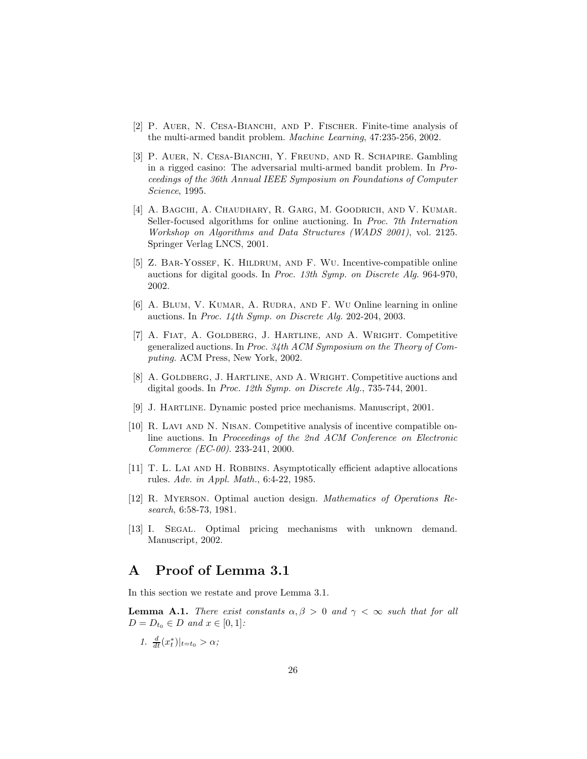- [2] P. AUER, N. CESA-BIANCHI, AND P. FISCHER. Finite-time analysis of the multi-armed bandit problem. Machine Learning, 47:235-256, 2002.
- [3] P. AUER, N. CESA-BIANCHI, Y. FREUND, AND R. SCHAPIRE. Gambling in a rigged casino: The adversarial multi-armed bandit problem. In Proceedings of the 36th Annual IEEE Symposium on Foundations of Computer Science, 1995.
- [4] A. Bagchi, A. Chaudhary, R. Garg, M. Goodrich, and V. Kumar. Seller-focused algorithms for online auctioning. In Proc. 7th Internation Workshop on Algorithms and Data Structures (WADS 2001), vol. 2125. Springer Verlag LNCS, 2001.
- [5] Z. Bar-Yossef, K. Hildrum, and F. Wu. Incentive-compatible online auctions for digital goods. In Proc. 13th Symp. on Discrete Alg. 964-970, 2002.
- [6] A. BLUM, V. KUMAR, A. RUDRA, AND F. WU Online learning in online auctions. In Proc. 14th Symp. on Discrete Alg. 202-204, 2003.
- [7] A. Fiat, A. Goldberg, J. Hartline, and A. Wright. Competitive generalized auctions. In Proc. 34th ACM Symposium on the Theory of Computing. ACM Press, New York, 2002.
- [8] A. Goldberg, J. Hartline, and A. Wright. Competitive auctions and digital goods. In Proc. 12th Symp. on Discrete Alg., 735-744, 2001.
- [9] J. Hartline. Dynamic posted price mechanisms. Manuscript, 2001.
- [10] R. Lavi and N. Nisan. Competitive analysis of incentive compatible online auctions. In Proceedings of the 2nd ACM Conference on Electronic Commerce (EC-00). 233-241, 2000.
- [11] T. L. LAI AND H. ROBBINS. Asymptotically efficient adaptive allocations rules. Adv. in Appl. Math., 6:4-22, 1985.
- [12] R. Myerson. Optimal auction design. Mathematics of Operations Research, 6:58-73, 1981.
- [13] I. Segal. Optimal pricing mechanisms with unknown demand. Manuscript, 2002.

# A Proof of Lemma 3.1

In this section we restate and prove Lemma 3.1.

**Lemma A.1.** There exist constants  $\alpha, \beta > 0$  and  $\gamma < \infty$  such that for all  $D = D_{t_0} \in D$  and  $x \in [0, 1]$ :

1.  $\frac{d}{dt}(x_t^*)|_{t=t_0} > \alpha;$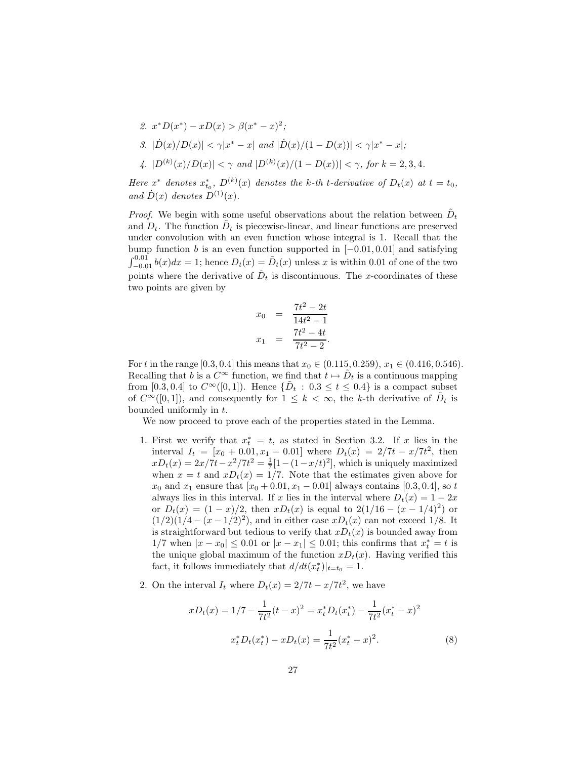2. 
$$
x^*D(x^*) - xD(x) > \beta(x^* - x)^2
$$
;  
\n3.  $|\dot{D}(x)/D(x)| < \gamma |x^* - x|$  and  $|\dot{D}(x)/(1 - D(x))| < \gamma |x^* - x|$ ;  
\n4.  $|D^{(k)}(x)/D(x)| < \gamma$  and  $|D^{(k)}(x)/(1 - D(x))| < \gamma$ , for  $k = 2, 3, 4$ .

Here  $x^*$  denotes  $x_{t_0}^*$ ,  $D^{(k)}(x)$  denotes the k-th t-derivative of  $D_t(x)$  at  $t = t_0$ , and  $\dot{D}(x)$  denotes  $D^{(1)}(x)$ .

*Proof.* We begin with some useful observations about the relation between  $\tilde{D}_t$ and  $D_t$ . The function  $\tilde{D}_t$  is piecewise-linear, and linear functions are preserved under convolution with an even function whose integral is 1. Recall that the bump function b is an even function supported in  $[-0.01, 0.01]$  and satisfying  $\int_{-0.01}^{0.01} b(x)dx = 1$ ; hence  $D_t(x) = \tilde{D}_t(x)$  unless x is within 0.01 of one of the two points where the derivative of  $\tilde{D}_t$  is discontinuous. The x-coordinates of these two points are given by

$$
x_0 = \frac{7t^2 - 2t}{14t^2 - 1}
$$

$$
x_1 = \frac{7t^2 - 4t}{7t^2 - 2}.
$$

For t in the range [0.3, 0.4] this means that  $x_0 \in (0.115, 0.259), x_1 \in (0.416, 0.546)$ . Recalling that b is a  $C^{\infty}$  function, we find that  $t \mapsto \tilde{D}_t$  is a continuous mapping from [0.3, 0.4] to  $C^{\infty}([0,1])$ . Hence  $\{\tilde{D}_t : 0.3 \le t \le 0.4\}$  is a compact subset of  $C^{\infty}([0,1])$ , and consequently for  $1 \leq k < \infty$ , the k-th derivative of  $D_t$  is bounded uniformly in t.

We now proceed to prove each of the properties stated in the Lemma.

- 1. First we verify that  $x_t^* = t$ , as stated in Section 3.2. If x lies in the interval  $I_t = [x_0 + 0.01, x_1 - 0.01]$  where  $D_t(x) = 2/7t - x/7t^2$ , then  $xD_t(x) = 2x/7t - x^2/7t^2 = \frac{1}{7}[1 - (1 - x/t)^2]$ , which is uniquely maximized when  $x = t$  and  $xD_t(x) = 1/7$ . Note that the estimates given above for  $x_0$  and  $x_1$  ensure that  $[x_0 + 0.01, x_1 - 0.01]$  always contains [0.3, 0.4], so t always lies in this interval. If x lies in the interval where  $D_t(x) = 1 - 2x$ or  $D_t(x) = (1-x)/2$ , then  $xD_t(x)$  is equal to  $2(1/16 - (x - 1/4)^2)$  or  $(1/2)(1/4 - (x - 1/2)^2)$ , and in either case  $xD_t(x)$  can not exceed 1/8. It is straightforward but tedious to verify that  $xD_t(x)$  is bounded away from  $1/7$  when  $|x - x_0| \le 0.01$  or  $|x - x_1| \le 0.01$ ; this confirms that  $x_t^* = t$  is the unique global maximum of the function  $xD_t(x)$ . Having verified this fact, it follows immediately that  $d/dt(x_t^*)|_{t=t_0} = 1$ .
- 2. On the interval  $I_t$  where  $D_t(x) = 2/7t x/7t^2$ , we have

$$
xD_t(x) = 1/7 - \frac{1}{7t^2}(t - x)^2 = x_t^* D_t(x_t^*) - \frac{1}{7t^2}(x_t^* - x)^2
$$
  

$$
x_t^* D_t(x_t^*) - x D_t(x) = \frac{1}{7t^2}(x_t^* - x)^2.
$$
 (8)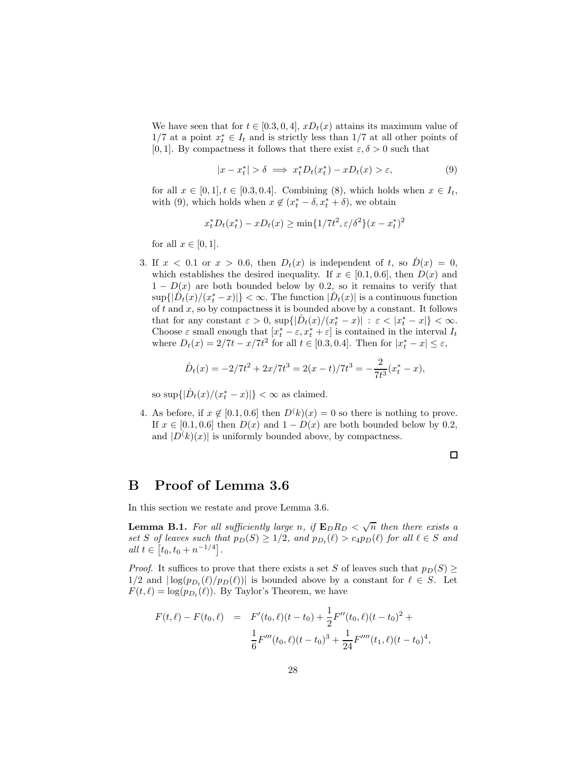We have seen that for  $t \in [0.3, 0, 4]$ ,  $xD_t(x)$  attains its maximum value of  $1/7$  at a point  $x_t^* \in I_t$  and is strictly less than  $1/7$  at all other points of [0, 1]. By compactness it follows that there exist  $\varepsilon, \delta > 0$  such that

$$
|x - x_t^*| > \delta \implies x_t^* D_t(x_t^*) - x D_t(x) > \varepsilon,
$$
\n(9)

for all  $x \in [0,1], t \in [0.3, 0.4]$ . Combining (8), which holds when  $x \in I_t$ , with (9), which holds when  $x \notin (x_t^* - \delta, x_t^* + \delta)$ , we obtain

$$
x_t^* D_t(x_t^*) - x D_t(x) \ge \min\{1/7t^2, \varepsilon/\delta^2\}(x - x_t^*)^2
$$

for all  $x \in [0,1]$ .

3. If  $x < 0.1$  or  $x > 0.6$ , then  $D_t(x)$  is independent of t, so  $\dot{D}(x) = 0$ , which establishes the desired inequality. If  $x \in [0.1, 0.6]$ , then  $D(x)$  and  $1 - D(x)$  are both bounded below by 0.2, so it remains to verify that  $\sup\{|D_t(x)/(x_t^*-x)|\}<\infty.$  The function  $|D_t(x)|$  is a continuous function of  $t$  and  $x$ , so by compactness it is bounded above by a constant. It follows that for any constant  $\varepsilon > 0$ ,  $\sup\{|D_t(x)/(x_t^* - x)| : \varepsilon < |x_t^* - x|\} < \infty$ . Choose  $\varepsilon$  small enough that  $[x_t^* - \varepsilon, x_t^* + \varepsilon]$  is contained in the interval  $I_t$ where  $D_t(x) = 2/7t - x/7t^2$  for all  $t \in [0.3, 0.4]$ . Then for  $|x_t^* - x| \le \varepsilon$ ,

$$
\dot{D}_t(x) = -2/7t^2 + 2x/7t^3 = 2(x-t)/7t^3 = -\frac{2}{7t^3}(x_t^* - x),
$$

so sup $\{|\dot{D}_t(x)/(x_t^*-x)|\} < \infty$  as claimed.

4. As before, if  $x \notin [0.1, 0.6]$  then  $D^k(k)(x) = 0$  so there is nothing to prove. If  $x \in [0.1, 0.6]$  then  $D(x)$  and  $1 - D(x)$  are both bounded below by 0.2, and  $|D(k)(x)|$  is uniformly bounded above, by compactness.

 $\Box$ 

# B Proof of Lemma 3.6

In this section we restate and prove Lemma 3.6.

**Lemma B.1.** For all sufficiently large n, if  $\mathbf{E}_D R_D < \sqrt{n}$  then there exists a set S of leaves such that  $p_D(S) \geq 1/2$ , and  $p_{D_t}(\ell) > c_4 p_D(\ell)$  for all  $\ell \in S$  and  $all \ t \in [t_0, t_0 + n^{-1/4}].$ 

*Proof.* It suffices to prove that there exists a set S of leaves such that  $p_D(S) \geq$  $1/2$  and  $\lfloor \log(p_{D_t}(\ell)/p_D(\ell)) \rfloor$  is bounded above by a constant for  $\ell \in S$ . Let  $F(t, \ell) = \log(p_{D_t}(\ell))$ . By Taylor's Theorem, we have

$$
F(t,\ell) - F(t_0,\ell) = F'(t_0,\ell)(t-t_0) + \frac{1}{2}F''(t_0,\ell)(t-t_0)^2 + \frac{1}{6}F'''(t_0,\ell)(t-t_0)^3 + \frac{1}{24}F''''(t_1,\ell)(t-t_0)^4,
$$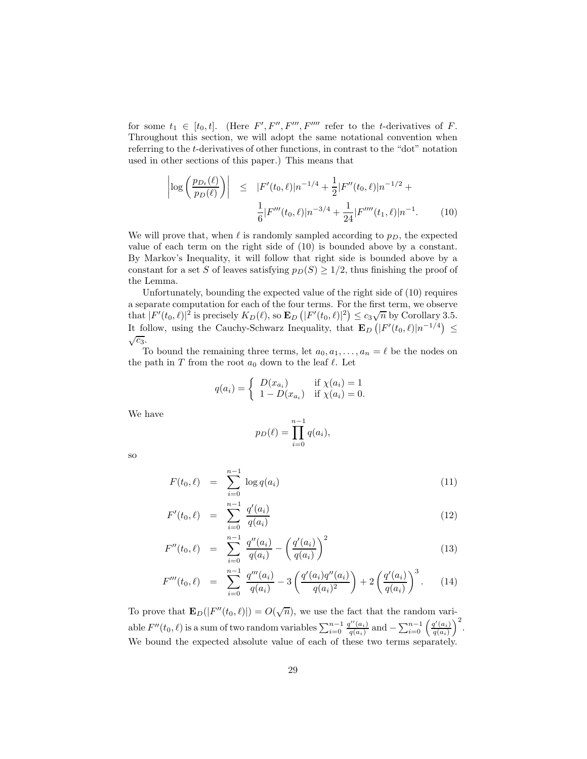for some  $t_1 \in [t_0, t]$ . (Here  $F', F'', F''', F''''$  refer to the t-derivatives of F. Throughout this section, we will adopt the same notational convention when referring to the t-derivatives of other functions, in contrast to the "dot" notation used in other sections of this paper.) This means that

$$
\left| \log \left( \frac{p_{D_t}(\ell)}{p_D(\ell)} \right) \right| \leq |F'(t_0, \ell)| n^{-1/4} + \frac{1}{2} |F''(t_0, \ell)| n^{-1/2} + \frac{1}{6} |F'''(t_0, \ell)| n^{-3/4} + \frac{1}{24} |F''''(t_1, \ell)| n^{-1}.
$$
 (10)

We will prove that, when  $\ell$  is randomly sampled according to  $p_D$ , the expected value of each term on the right side of (10) is bounded above by a constant. By Markov's Inequality, it will follow that right side is bounded above by a constant for a set S of leaves satisfying  $p_D(S) \geq 1/2$ , thus finishing the proof of the Lemma.

Unfortunately, bounding the expected value of the right side of (10) requires a separate computation for each of the four terms. For the first term, we observe that  $|F'(t_0, \ell)|^2$  is precisely  $K_D(\ell)$ , so  $\mathbf{E}_D(|F'(t_0, \ell)|^2) \leq c_3 \sqrt{n}$  by Corollary 3.5. It follow, using the Cauchy-Schwarz Inequality, that  $\mathbf{E}_D\left(|F'(t_0,\ell)|n^{-1/4}\right) \leq$  $\sqrt{c_3}$ .

To bound the remaining three terms, let  $a_0, a_1, \ldots, a_n = \ell$  be the nodes on the path in  $T$  from the root  $a_0$  down to the leaf  $\ell$ . Let

$$
q(a_i) = \begin{cases} D(x_{a_i}) & \text{if } \chi(a_i) = 1\\ 1 - D(x_{a_i}) & \text{if } \chi(a_i) = 0. \end{cases}
$$

We have

$$
p_D(\ell) = \prod_{i=0}^{n-1} q(a_i),
$$

so

$$
F(t_0, \ell) = \sum_{i=0}^{n-1} \log q(a_i)
$$
 (11)

$$
F'(t_0, \ell) = \sum_{i=0}^{n-1} \frac{q'(a_i)}{q(a_i)}
$$
\n(12)

$$
F''(t_0, \ell) = \sum_{i=0}^{n-1} \frac{q''(a_i)}{q(a_i)} - \left(\frac{q'(a_i)}{q(a_i)}\right)^2 \tag{13}
$$

$$
F'''(t_0, \ell) = \sum_{i=0}^{n-1} \frac{q'''(a_i)}{q(a_i)} - 3\left(\frac{q'(a_i)q''(a_i)}{q(a_i)^2}\right) + 2\left(\frac{q'(a_i)}{q(a_i)}\right)^3. \tag{14}
$$

To prove that  $\mathbf{E}_D(|F''(t_0, \ell)|) = O(\sqrt{n})$ , we use the fact that the random variable  $F''(t_0, \ell)$  is a sum of two random variables  $\sum_{i=0}^{n-1} \frac{q''(a_i)}{q(a_i)}$  $\frac{q''(a_i)}{q(a_i)}$  and  $-\sum_{i=0}^{n-1} \left(\frac{q'(a_i)}{q(a_i)}\right)$  $\frac{q'(a_i)}{q(a_i)}\bigg)^2.$ We bound the expected absolute value of each of these two terms separately.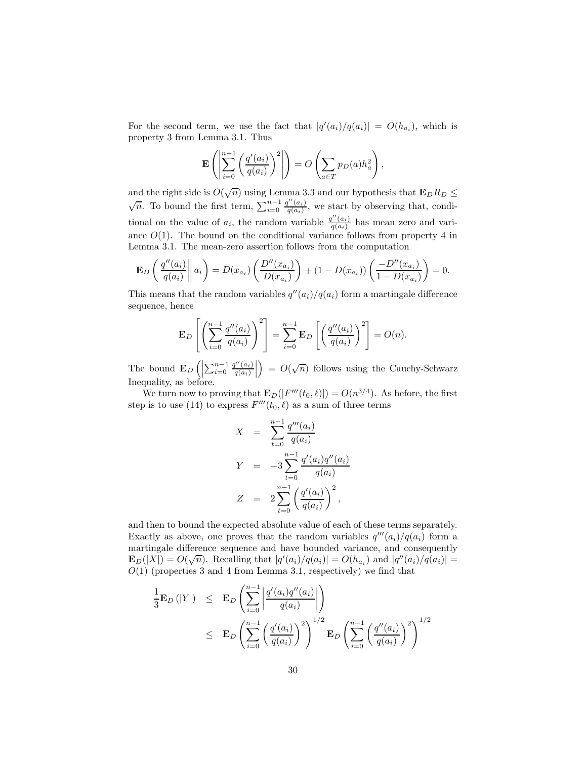For the second term, we use the fact that  $|q'(a_i)/q(a_i)| = O(h_{a_i})$ , which is property 3 from Lemma 3.1. Thus

$$
\mathbf{E}\left(\left|\sum_{i=0}^{n-1}\left(\frac{q'(a_i)}{q(a_i)}\right)^2\right|\right) = O\left(\sum_{a\in T}p_D(a)h_a^2\right),\,
$$

and the right side is  $O(\sqrt{n})$  using Lemma 3.3 and our hypothesis that  $\mathbf{E}_D R_D \leq$  $\sqrt{n}$ . To bound the first term,  $\sum_{i=0}^{n-1} \frac{q''(a_i)}{q(a_i)}$  $\frac{d(a_i)}{q(a_i)}$ , we start by observing that, conditional on the value of  $a_i$ , the random variable  $\frac{q''(a_i)}{q(a_i)}$  $\frac{d(a_i)}{q(a_i)}$  has mean zero and variance  $O(1)$ . The bound on the conditional variance follows from property 4 in Lemma 3.1. The mean-zero assertion follows from the computation

$$
\mathbf{E}_D\left(\frac{q''(a_i)}{q(a_i)}\middle\| a_i\right) = D(x_{a_i})\left(\frac{D''(x_{a_i})}{D(x_{a_i})}\right) + (1 - D(x_{a_i}))\left(\frac{-D''(x_{a_i})}{1 - D(x_{a_i})}\right) = 0.
$$

This means that the random variables  $q''(a_i)/q(a_i)$  form a martingale difference sequence, hence

$$
\mathbf{E}_D\left[\left(\sum_{i=0}^{n-1}\frac{q''(a_i)}{q(a_i)}\right)^2\right] = \sum_{i=0}^{n-1}\mathbf{E}_D\left[\left(\frac{q''(a_i)}{q(a_i)}\right)^2\right] = O(n).
$$

The bound  $\mathbf{E}_D\left(\left|\sum_{i=0}^{n-1}\frac{q''(a_i)}{q(a_i)}\right|\right)$  $\frac{q''(a_i)}{q(a_i)}\Bigg|$  $= O(\sqrt{n})$  follows using the Cauchy-Schwarz Inequality, as before.

We turn now to proving that  $\mathbf{E}_D(|F'''(t_0,\ell)|) = O(n^{3/4})$ . As before, the first step is to use (14) to express  $F'''(t_0, \ell)$  as a sum of three terms

$$
X = \sum_{t=0}^{n-1} \frac{q'''(a_i)}{q(a_i)}
$$
  
\n
$$
Y = -3 \sum_{t=0}^{n-1} \frac{q'(a_i)q''(a_i)}{q(a_i)}
$$
  
\n
$$
Z = 2 \sum_{t=0}^{n-1} \left(\frac{q'(a_i)}{q(a_i)}\right)^2,
$$

and then to bound the expected absolute value of each of these terms separately. Exactly as above, one proves that the random variables  $q'''(a_i)/q(a_i)$  form a martingale difference sequence and have bounded variance, and consequently  $\mathbf{E}_D(|X|) = O(\sqrt{n}).$  Recalling that  $|q'(a_i)/q(a_i)| = O(h_{a_i})$  and  $|q''(a_i)/q(a_i)| =$  $O(1)$  (properties 3 and 4 from Lemma 3.1, respectively) we find that

$$
\frac{1}{3}\mathbf{E}_D(|Y|) \leq \mathbf{E}_D\left(\sum_{i=0}^{n-1} \left| \frac{q'(a_i)q''(a_i)}{q(a_i)} \right|\right)
$$
\n
$$
\leq \mathbf{E}_D\left(\sum_{i=0}^{n-1} \left(\frac{q'(a_i)}{q(a_i)}\right)^2\right)^{1/2} \mathbf{E}_D\left(\sum_{i=0}^{n-1} \left(\frac{q''(a_i)}{q(a_i)}\right)^2\right)^{1/2}
$$